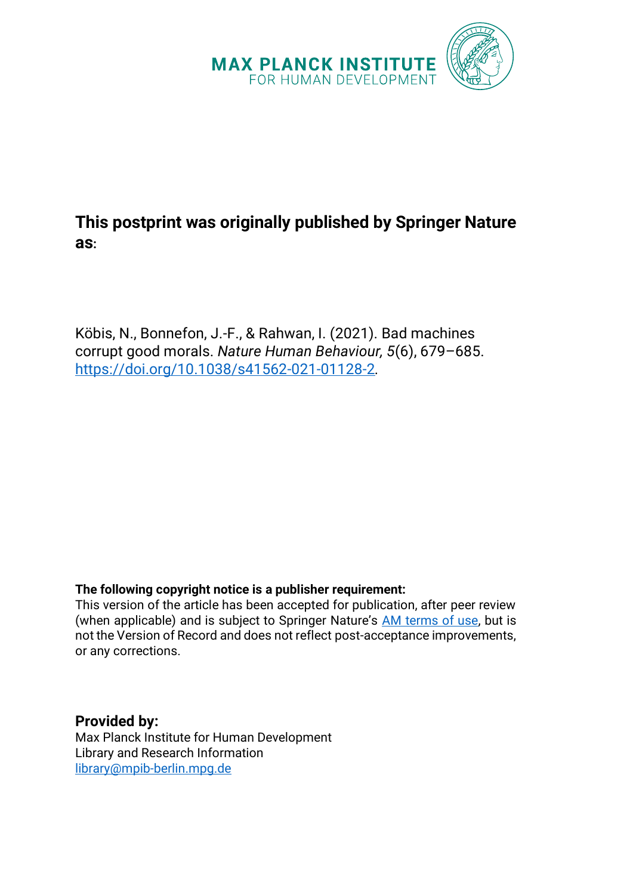

# **This postprint was originally published by Springer Nature as:**

Köbis, N., Bonnefon, J.-F., & Rahwan, I. (2021). Bad machines corrupt good morals. *Nature Human Behaviour, 5*(6), 679–685. <https://doi.org/10.1038/s41562-021-01128-2>*.*

## **The following copyright notice is a publisher requirement:**

This version of the article has been accepted for publication, after peer review (when applicable) and is subject to Springer Nature's [AM terms of use,](https://www.springernature.com/gp/open-research/policies/accepted-manuscript-terms) but is not the Version of Record and does not reflect post-acceptance improvements, or any corrections.

**Provided by:** Max Planck Institute for Human Development Library and Research Information [library@mpib-berlin.mpg.de](mailto:library@mpib-berlin.mpg.de)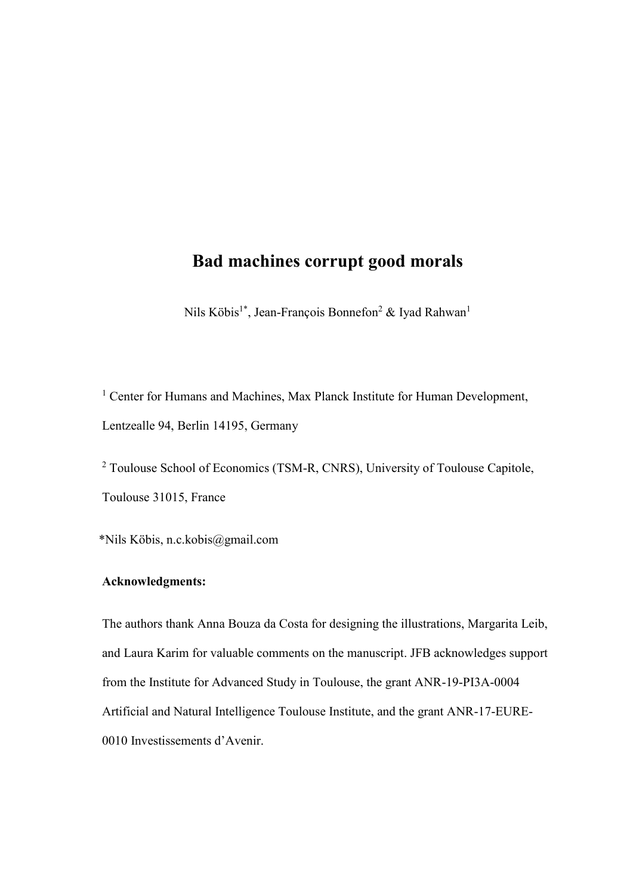## **Bad machines corrupt good morals**

Nils Köbis<sup>1\*</sup>, Jean-François Bonnefon<sup>2</sup> & Iyad Rahwan<sup>1</sup>

<sup>1</sup> Center for Humans and Machines, Max Planck Institute for Human Development, Lentzealle 94, Berlin 14195, Germany

<sup>2</sup> Toulouse School of Economics (TSM-R, CNRS), University of Toulouse Capitole, Toulouse 31015, France

\*Nils Köbis, n.c.kobis@gmail.com

## **Acknowledgments:**

The authors thank Anna Bouza da Costa for designing the illustrations, Margarita Leib, and Laura Karim for valuable comments on the manuscript. JFB acknowledges support from the Institute for Advanced Study in Toulouse, the grant ANR-19-PI3A-0004 Artificial and Natural Intelligence Toulouse Institute, and the grant ANR-17-EURE-0010 Investissements d'Avenir.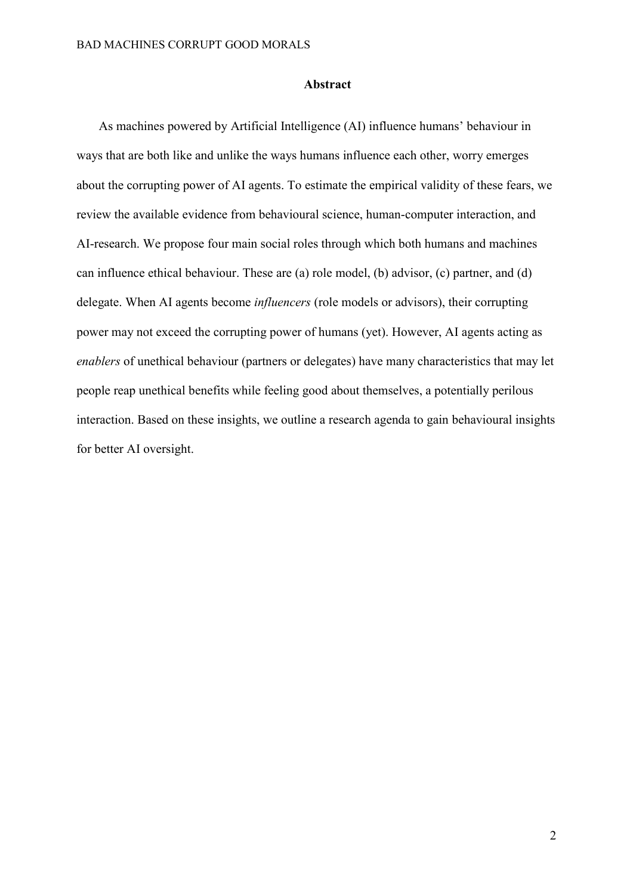#### **Abstract**

As machines powered by Artificial Intelligence (AI) influence humans' behaviour in ways that are both like and unlike the ways humans influence each other, worry emerges about the corrupting power of AI agents. To estimate the empirical validity of these fears, we review the available evidence from behavioural science, human-computer interaction, and AI-research. We propose four main social roles through which both humans and machines can influence ethical behaviour. These are (a) role model, (b) advisor, (c) partner, and (d) delegate. When AI agents become *influencers* (role models or advisors), their corrupting power may not exceed the corrupting power of humans (yet). However, AI agents acting as *enablers* of unethical behaviour (partners or delegates) have many characteristics that may let people reap unethical benefits while feeling good about themselves, a potentially perilous interaction. Based on these insights, we outline a research agenda to gain behavioural insights for better AI oversight.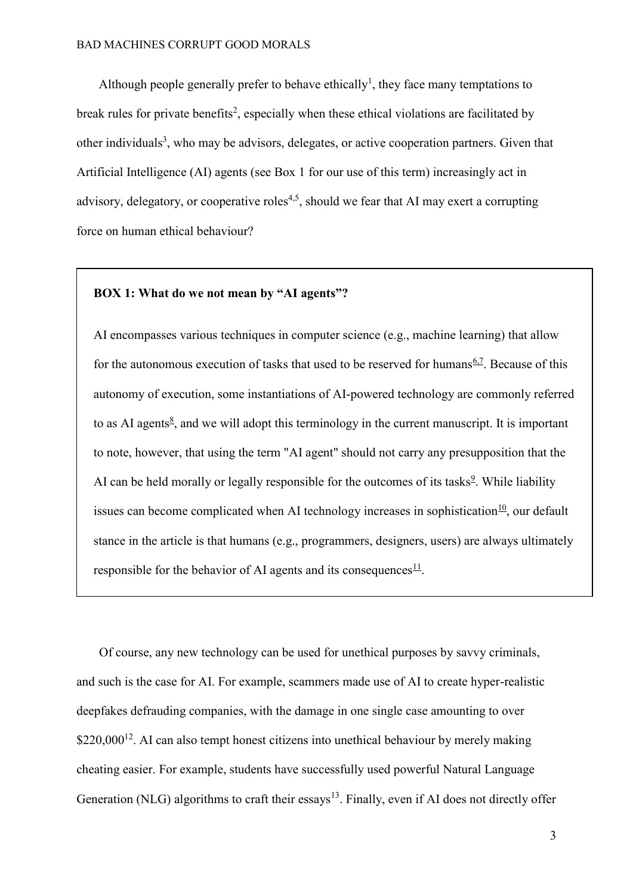Although people generally prefer to behave ethically<sup>[1](https://paperpile.com/c/QSlb5j/tBuUh)</sup>, they face many temptations to break rules for private benefits<sup>[2](https://paperpile.com/c/QSlb5j/AzcZp)</sup>, especially when these ethical violations are facilitated by other individuals<sup>[3](https://paperpile.com/c/QSlb5j/rEl2)</sup>, who may be advisors, delegates, or active cooperation partners. Given that Artificial Intelligence (AI) agents (see Box 1 for our use of this term) increasingly act in advisory, delegatory, or cooperative roles<sup>[4,5](https://paperpile.com/c/QSlb5j/Yb6tW+N4md4)</sup>, should we fear that AI may exert a corrupting force on human ethical behaviour?

## **BOX 1: What do we not mean by "AI agents"?**

AI encompasses various techniques in computer science (e.g., machine learning) that allow for the autonomous execution of tasks that used to be reserved for humans $6.7$ . Because of this autonomy of execution, some instantiations of AI-powered technology are commonly referred to as AI agents $\frac{8}{5}$  $\frac{8}{5}$  $\frac{8}{5}$ , and we will adopt this terminology in the current manuscript. It is important to note, however, that using the term "AI agent" should not carry any presupposition that the AI can be held morally or legally responsible for the outcomes of its tasks $9$ . While liability issues can become complicated when AI technology increases in sophistication<sup>[10](https://paperpile.com/c/QSlb5j/Po5Z)</sup>, our default stance in the article is that humans (e.g., programmers, designers, users) are always ultimately responsible for the behavior of AI agents and its consequences $\frac{11}{1}$  $\frac{11}{1}$  $\frac{11}{1}$ .

Of course, any new technology can be used for unethical purposes by savvy criminals, and such is the case for AI. For example, scammers made use of AI to create hyper-realistic deepfakes defrauding companies, with the damage in one single case amounting to over  $$220,000^{12}$  $$220,000^{12}$  $$220,000^{12}$ . AI can also tempt honest citizens into unethical behaviour by merely making cheating easier. For example, students have successfully used powerful Natural Language Generation (NLG) algorithms to craft their essays<sup>[13](https://paperpile.com/c/QSlb5j/svyOB)</sup>. Finally, even if AI does not directly offer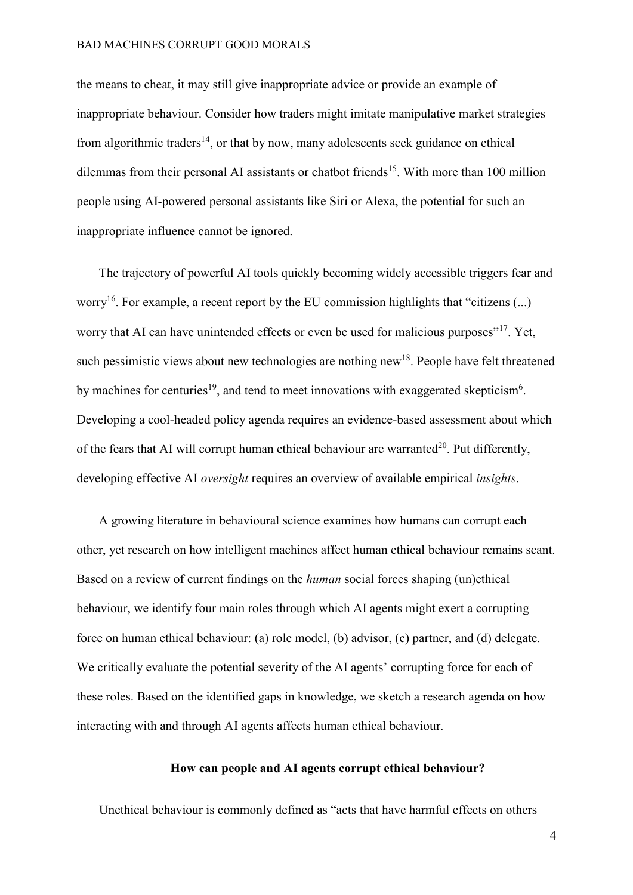the means to cheat, it may still give inappropriate advice or provide an example of inappropriate behaviour. Consider how traders might imitate manipulative market strategies from algorithmic traders<sup>[14](https://paperpile.com/c/QSlb5j/6Xem)</sup>, or that by now, many adolescents seek guidance on ethical dilemmas from their personal AI assistants or chatbot friends<sup>[15](https://paperpile.com/c/QSlb5j/Adok)</sup>. With more than 100 million people using AI-powered personal assistants like Siri or Alexa, the potential for such an inappropriate influence cannot be ignored.

The trajectory of powerful AI tools quickly becoming widely accessible triggers fear and worry<sup>[16](https://paperpile.com/c/QSlb5j/LLMH1)</sup>. For example, a recent report by the EU commission highlights that "citizens  $(...)$ worry that AI can have unintended effects or even be used for malicious purposes"<sup>[17](https://paperpile.com/c/QSlb5j/N8nT/?locator=9)</sup>. Yet, such pessimistic views about new technologies are nothing new<sup>[18](https://paperpile.com/c/QSlb5j/6XNg)</sup>. People have felt threatened by machines for centuries<sup>[19](https://paperpile.com/c/QSlb5j/LARuH)</sup>, and tend to meet innovations with exaggerated skepticism<sup>[6](https://paperpile.com/c/QSlb5j/vCr1)</sup>. Developing a cool-headed policy agenda requires an evidence-based assessment about which of the fears that AI will corrupt human ethical behaviour are warranted<sup>[20](https://paperpile.com/c/QSlb5j/4rD40)</sup>. Put differently, developing effective AI *oversight* requires an overview of available empirical *insights*.

A growing literature in behavioural science examines how humans can corrupt each other, yet research on how intelligent machines affect human ethical behaviour remains scant. Based on a review of current findings on the *human* social forces shaping (un)ethical behaviour, we identify four main roles through which AI agents might exert a corrupting force on human ethical behaviour: (a) role model, (b) advisor, (c) partner, and (d) delegate. We critically evaluate the potential severity of the AI agents' corrupting force for each of these roles. Based on the identified gaps in knowledge, we sketch a research agenda on how interacting with and through AI agents affects human ethical behaviour.

## **How can people and AI agents corrupt ethical behaviour?**

Unethical behaviour is commonly defined as "acts that have harmful effects on others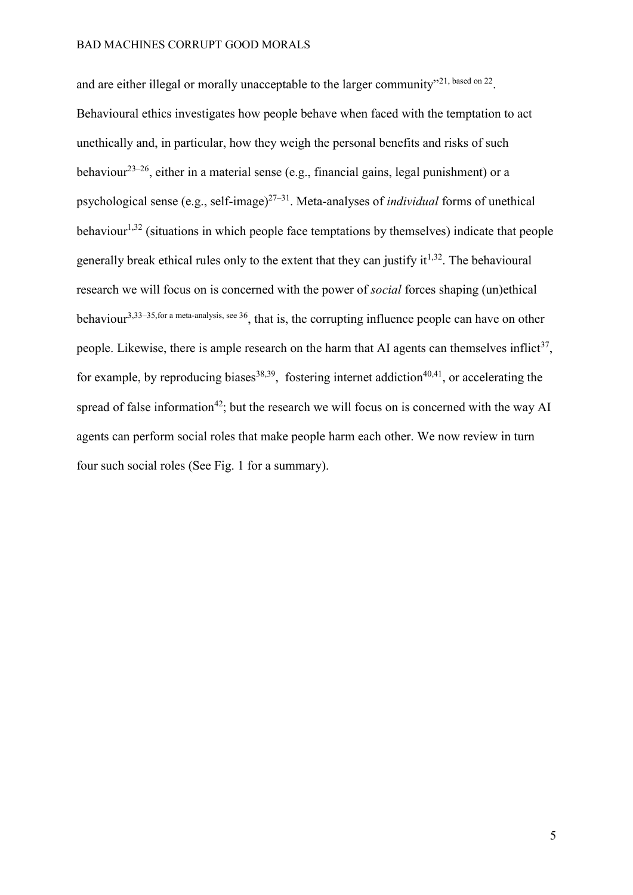and are either illegal or morally unacceptable to the larger community"<sup>[21, based on 22](https://paperpile.com/c/QSlb5j/tfkz+tiXV/?locator=107,&prefix=,%20based%20on)</sup>. Behavioural ethics investigates how people behave when faced with the temptation to act unethically and, in particular, how they weigh the personal benefits and risks of such behaviour<sup>23–[26](https://paperpile.com/c/QSlb5j/wIHm5+BfZrf+aqK4+fO9Ve)</sup>, either in a material sense (e.g., financial gains, legal punishment) or a psychological sense (e.g., self-image)[27](https://paperpile.com/c/QSlb5j/lTmc9+feRrI+Y2RDO+g16O1+G4dM8)–<sup>31</sup>. Meta-analyses of *individual* forms of unethical behaviour<sup>[1,32](https://paperpile.com/c/QSlb5j/AfeLC+tBuUh)</sup> (situations in which people face temptations by themselves) indicate that people generally break ethical rules only to the extent that they can justify it<sup> $1,32$ </sup>. The behavioural research we will focus on is concerned with the power of *social* forces shaping (un)ethical behaviour3,33–35,for a [meta-analysis, see 36](https://paperpile.com/c/QSlb5j/rEl2+1mbH+Z2ZA+kdrAE+jTeV/?prefix=,,,,for%20a%20meta-analyis%2C%20see%20), that is, the corrupting influence people can have on other people. Likewise, there is ample research on the harm that AI agents can themselves inflict<sup>[37](https://paperpile.com/c/QSlb5j/GWtf8)</sup>, for example, by reproducing biases<sup>[38,39](https://paperpile.com/c/QSlb5j/1u7FD+57cKT)</sup>, fostering internet addiction<sup>[40,41](https://paperpile.com/c/QSlb5j/ZFaet+izrJU)</sup>, or accelerating the spread of false information<sup>[42](https://paperpile.com/c/QSlb5j/bhKU)</sup>; but the research we will focus on is concerned with the way AI agents can perform social roles that make people harm each other. We now review in turn four such social roles (See Fig. 1 for a summary).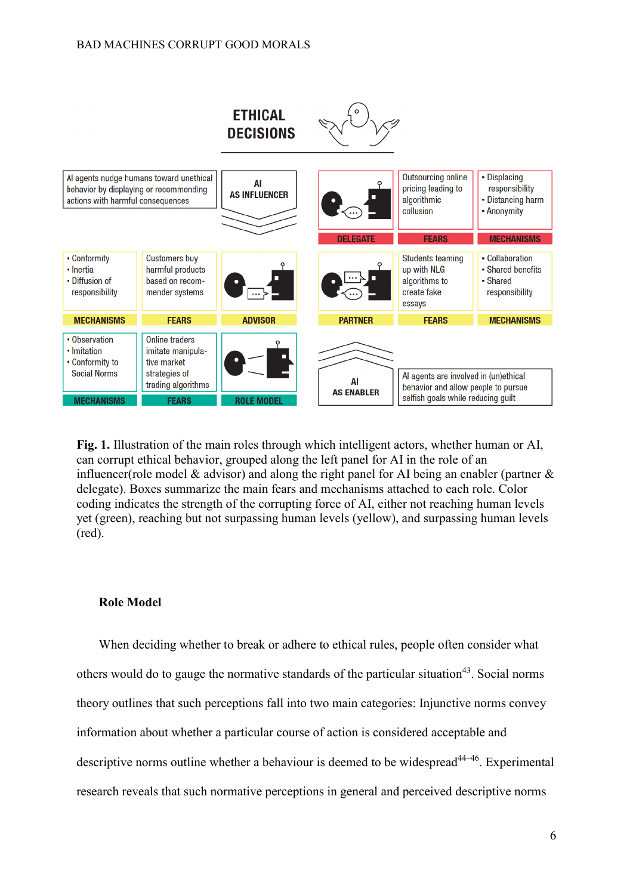

**Fig. 1.** Illustration of the main roles through which intelligent actors, whether human or AI, can corrupt ethical behavior, grouped along the left panel for AI in the role of an influencer(role model & advisor) and along the right panel for AI being an enabler (partner & delegate). Boxes summarize the main fears and mechanisms attached to each role. Color coding indicates the strength of the corrupting force of AI, either not reaching human levels yet (green), reaching but not surpassing human levels (yellow), and surpassing human levels (red).

## **Role Model**

When deciding whether to break or adhere to ethical rules, people often consider what others would do to gauge the normative standards of the particular situation<sup>[43](https://paperpile.com/c/QSlb5j/MceDZ)</sup>. Social norms theory outlines that such perceptions fall into two main categories: Injunctive norms convey information about whether a particular course of action is considered acceptable and descriptive norms outline whether a behaviour is deemed to be widespread  $44-46$  $44-46$ . Experimental research reveals that such normative perceptions in general and perceived descriptive norms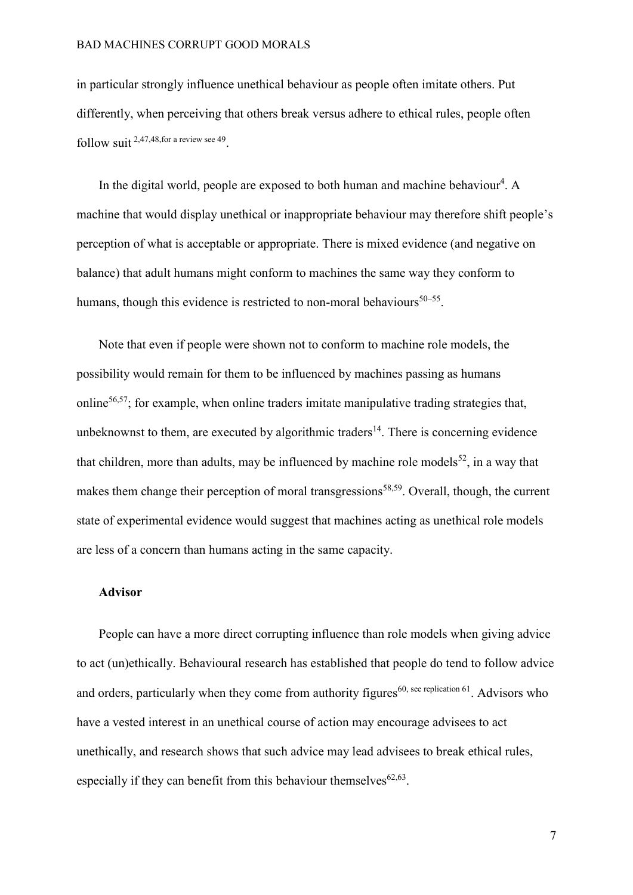in particular strongly influence unethical behaviour as people often imitate others. Put differently, when perceiving that others break versus adhere to ethical rules, people often follow suit [2,47,48,for a review see 49](https://paperpile.com/c/QSlb5j/AzcZp+iiNAu+5WmzB+L3iIV/?prefix=,,,for%20a%20review%20see) .

In the digital wo[r](https://paperpile.com/c/QSlb5j/Yb6tW)ld, people are exposed to both human and machine behaviour<sup>4</sup>. A machine that would display unethical or inappropriate behaviour may therefore shift people's perception of what is acceptable or appropriate. There is mixed evidence (and negative on balance) that adult humans might conform to machines the same way they conform to humans, though this evidence is restricted to non-moral behaviours<sup>[50](https://paperpile.com/c/QSlb5j/VEeiK+WdMmq+Zxqvu+LoFIM+26PQA+imyVq)–55</sup>.

Note that even if people were shown not to conform to machine role models, the possibility would remain for them to be influenced by machines passing as humans online[56,57](https://paperpile.com/c/QSlb5j/N9NsF+8YLhv); for example, when online traders imitate manipulative trading strategies that, unbeknownst to them, are executed by algorithmic traders<sup>[14](https://paperpile.com/c/QSlb5j/6Xem)</sup>. There is concerning evidence that children, more than adults, may be influenced by machine role models<sup>[52](https://paperpile.com/c/QSlb5j/Zxqvu)</sup>, in a way that makes them change their perception of moral transgressions<sup>[58,59](https://paperpile.com/c/QSlb5j/sBXap+ilC54)</sup>. Overall, though, the current state of experimental evidence would suggest that machines acting as unethical role models are less of a concern than humans acting in the same capacity.

## **Advisor**

People can have a more direct corrupting influence than role models when giving advice to act (un)ethically. Behavioural research has established that people do tend to follow advice and orders, particularly when they come from authority figures<sup>[60, see replication 61](https://paperpile.com/c/QSlb5j/E8jJV+N3mYk/?prefix=,%2C%20see%20replication)</sup>. Advisors who have a vested interest in an unethical course of action may encourage advisees to act unethically, and research shows that such advice may lead advisees to break ethical rules, especially if they can benefit from this behaviour themselves $62,63$ .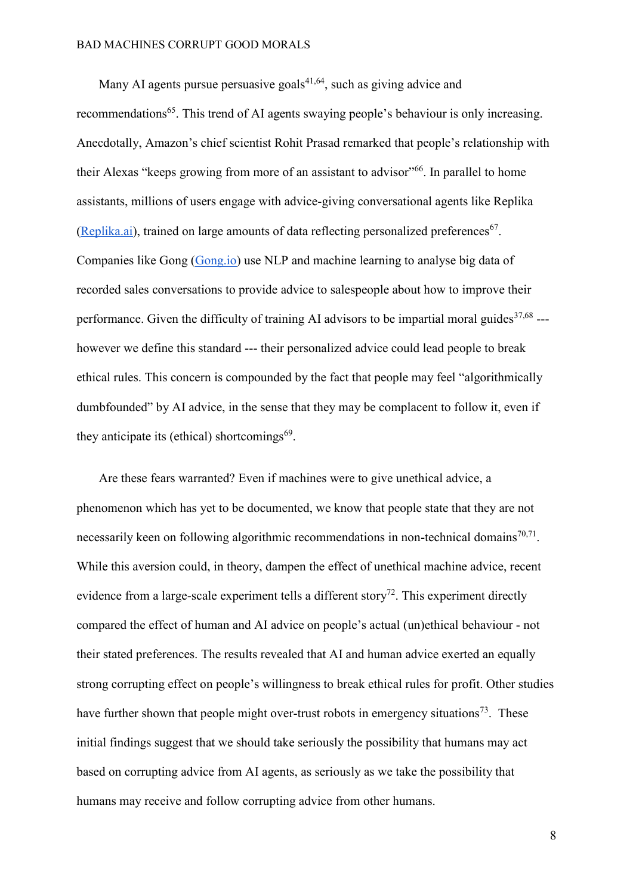Many AI agents pursue persuasive goals $41,64$ , such as giving advice and recommendations<sup>[65](https://paperpile.com/c/QSlb5j/eta6a)</sup>. This trend of AI agents swaying people's behaviour is only increasing. Anecdotally, Amazon's chief scientist Rohit Prasad remarked that people's relationship with their Alexas "keeps growing from more of an assistant to advisor"<sup>[66](https://paperpile.com/c/QSlb5j/c4olZ)</sup>. In parallel to home assistants, millions of users engage with advice-giving conversational agents like Replika  $(Replika. ai)$ , trained on large amounts of data reflecting personalized preferences<sup>[67](https://paperpile.com/c/QSlb5j/GxZc3)</sup>. Companies like Gong [\(Gong.io\)](http://www.gong.io/) use NLP and machine learning to analyse big data of recorded sales conversations to provide advice to salespeople about how to improve their performance. Given the difficulty of training AI advisors to be impartial moral guides $37,68$  --however we define this standard --- their personalized advice could lead people to break ethical rules. This concern is compounded by the fact that people may feel "algorithmically dumbfounded" by AI advice, in the sense that they may be complacent to follow it, even if they anticipate its (ethical) shortcomings $^{69}$  $^{69}$  $^{69}$ .

Are these fears warranted? Even if machines were to give unethical advice, a phenomenon which has yet to be documented, we know that people state that they are not necessarily keen on following algorithmic recommendations in non-technical domains $70,71$ . While this aversion could, in theory, dampen the effect of unethical machine advice, recent evidence from a large-scale experiment tells a different story<sup>[72](https://paperpile.com/c/QSlb5j/l9T56)</sup>. This experiment directly compared the effect of human and AI advice on people's actual (un)ethical behaviour - not their stated preferences. The results revealed that AI and human advice exerted an equally strong corrupting effect on people's willingness to break ethical rules for profit. Other studies have further shown that people might over-trust robots in emergency situations<sup>73</sup>. These initial findings suggest that we should take seriously the possibility that humans may act based on corrupting advice from AI agents, as seriously as we take the possibility that humans may receive and follow corrupting advice from other humans.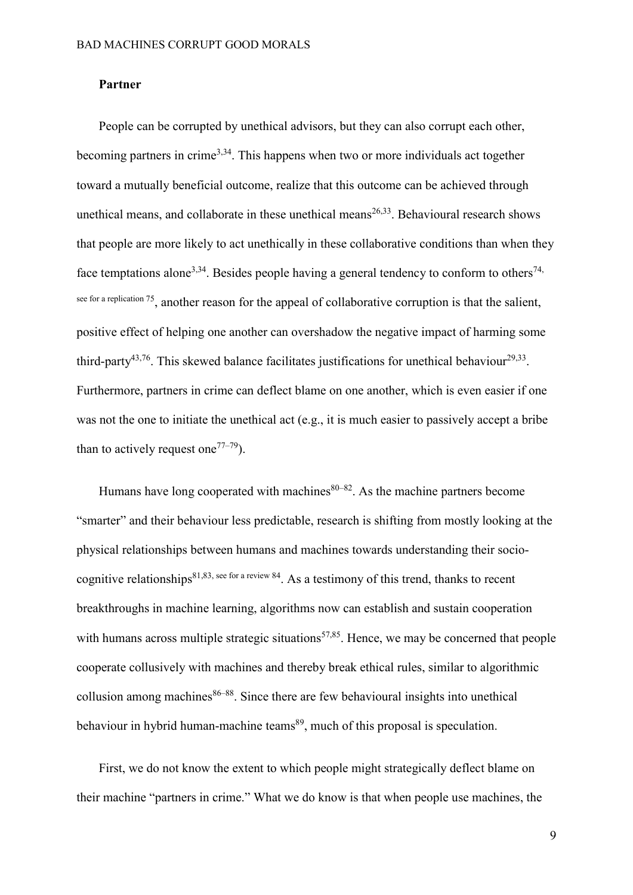### **Partner**

People can be corrupted by unethical advisors, but they can also corrupt each other, becoming partners in crime<sup>[3,34](https://paperpile.com/c/QSlb5j/Z2ZA+rEl2)</sup>. This happens when two or more individuals act together toward a mutually beneficial outcome, realize that this outcome can be achieved through unethical means, and collaborate in these unethical means<sup>[26,33](https://paperpile.com/c/QSlb5j/1mbH+fO9Ve)</sup>. Behavioural research shows that people are more likely to act unethically in these collaborative conditions than when they face temptations alone<sup>[3,34](https://paperpile.com/c/QSlb5j/rEl2+Z2ZA)</sup>. Besides people having a general tendency to conform to others<sup>74,</sup> see for a replication 75, another reason for the appeal of collaborative corruption is that the salient, positive effect of helping one another can overshadow the negative impact of harming some third-party<sup>[43,76](https://paperpile.com/c/QSlb5j/MceDZ+rXmBm)</sup>. This skewed balance facilitates justifications for unethical behaviour<sup>[29,33](https://paperpile.com/c/QSlb5j/Y2RDO+1mbH)</sup>. Furthermore, partners in crime can deflect blame on one another, which is even easier if one was not the one to initiate the unethical act (e.g., it is much easier to passively accept a bribe than to actively request one<sup>[77](https://paperpile.com/c/QSlb5j/udvRt+WnDgz+mAZOF)–79</sup>).

Humans have long cooperated with machines  $80-82$  $80-82$ . As the machine partners become "smarter" and their behaviour less predictable, research is shifting from mostly looking at the physical relationships between humans and machines towards understanding their socio-cognitive relationships<sup>[81,83,](https://paperpile.com/c/QSlb5j/QUqn+Zvj7+Mgffo/?prefix=,,see%20for%20a%20review) see for a review 84</sup>. As a testimony of this trend, thanks to recent breakthroughs in machine learning, algorithms now can establish and sustain cooperation with humans across multiple strategic situations<sup>[57,85](https://paperpile.com/c/QSlb5j/TP3ye+8YLhv)</sup>. Hence, we may be concerned that people cooperate collusively with machines and thereby break ethical rules, similar to algorithmic collusion among machines $86-88$  $86-88$ . Since there are few behavioural insights into unethical behaviour in hybrid human-machine teams<sup>[89](https://paperpile.com/c/QSlb5j/jM9tZ)</sup>, much of this proposal is speculation.

First, we do not know the extent to which people might strategically deflect blame on their machine "partners in crime." What we do know is that when people use machines, the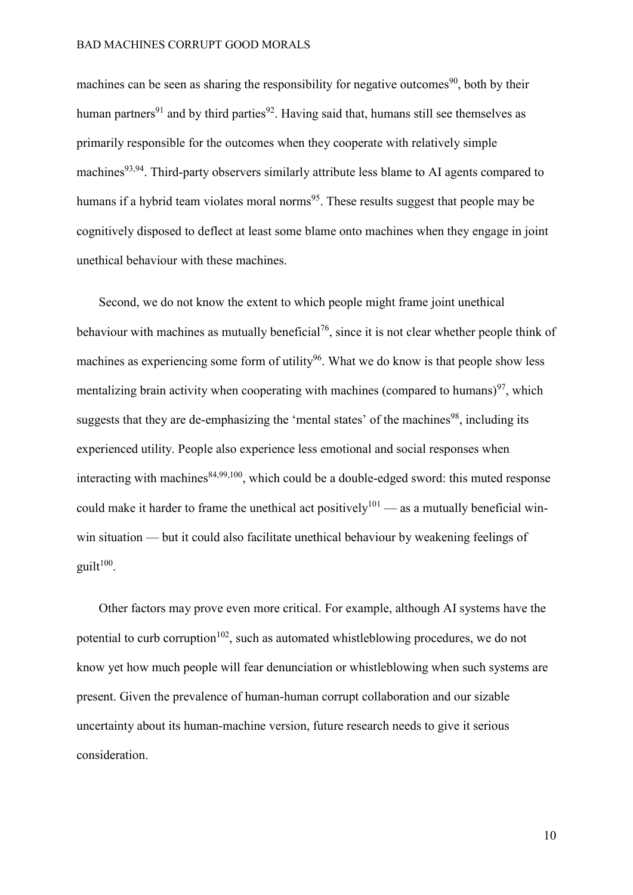machines can be seen as sharing the responsibility for negative outcomes<sup>90</sup>, both by their human partners<sup>[91](https://paperpile.com/c/QSlb5j/Kqpa5)</sup> and by third parties<sup>[92](https://paperpile.com/c/QSlb5j/fVhs5)</sup>. Having said that, humans still see themselves as primarily responsible for the outcomes when they cooperate with relatively simple machines<sup>[93,9](https://paperpile.com/c/QSlb5j/Tek6s+QpIme)4</sup>. Third-party observers similarly attribute less blame to AI agents compared to humans if a hybrid team violates moral norms<sup>[95](https://paperpile.com/c/QSlb5j/ttI3)</sup>. These results suggest that people may be cognitively disposed to deflect at least some blame onto machines when they engage in joint unethical behaviour with these machines.

Second, we do not know the extent to which people might frame joint unethical behaviour with machines as mutually beneficial<sup>[76](https://paperpile.com/c/QSlb5j/rXmBm)</sup>, since it is not clear whether people think of machines as experiencing some form of utility<sup>[96](https://paperpile.com/c/QSlb5j/ZyLJW)</sup>. What we do know is that people show less mentalizing brain activity when cooperating with machines (compared to humans) $97$ , which suggests that they are de-emphasizing the 'mental states' of the machines<sup>[98](https://paperpile.com/c/QSlb5j/vROBK)</sup>, including its experienced utility. People also experience less emotional and social responses when interacting with machines  $84,99,100$  $84,99,100$ , which could be a double-edged sword: this muted response could make it harder to frame the unethical act positively<sup>[101](https://paperpile.com/c/QSlb5j/vhahl)</sup> — as a mutually beneficial winwin situation — but it could also facilitate unethical behaviour by weakening feelings of  $g$ uilt $^{100}$ .

Other factors may prove even more critical. For example, although AI systems have the potential to curb corruption<sup>102</sup>, such as automated whistleblowing procedures, we do not know yet how much people will fear denunciation or whistleblowing when such systems are present. Given the prevalence of human-human corrupt collaboration and our sizable uncertainty about its human-machine version, future research needs to give it serious consideration.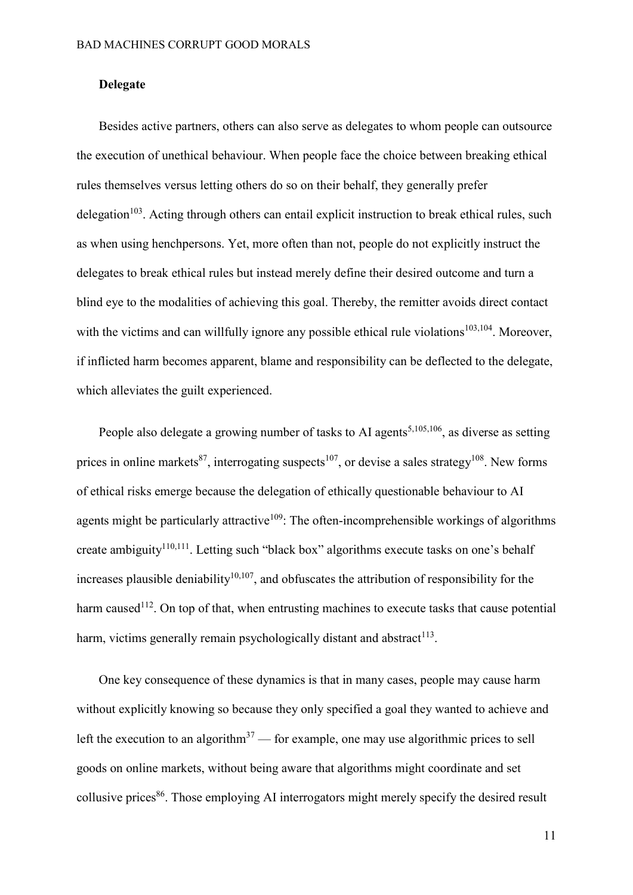## **Delegate**

Besides active partners, others can also serve as delegates to whom people can outsource the execution of unethical behaviour. When people face the choice between breaking ethical rules themselves versus letting others do so on their behalf, they generally prefer delegation<sup>[103](https://paperpile.com/c/QSlb5j/SpnW2)</sup>. Acting through others can entail explicit instruction to break ethical rules, such as when using henchpersons. Yet, more often than not, people do not explicitly instruct the delegates to break ethical rules but instead merely define their desired outcome and turn a blind eye to the modalities of achieving this goal. Thereby, the remitter avoids direct contact with the victims and can willfully ignore any possible ethical rule violations<sup>[103,](https://paperpile.com/c/QSlb5j/3V1ak+SpnW2)104</sup>. Moreover, if inflicted harm becomes apparent, blame and responsibility can be deflected to the delegate, which alleviates the guilt experienced.

People also delegate a growing number of tasks to AI agents<sup>[5,105,1](https://paperpile.com/c/QSlb5j/HCJzX+N4md4+FoDMp)06</sup>, as diverse as setting prices in online markets<sup>[87](https://paperpile.com/c/QSlb5j/oNiTU)</sup>, interrogating suspects<sup>[107](https://paperpile.com/c/QSlb5j/hZUV)</sup>, or devise a sales strategy<sup>[108](https://paperpile.com/c/QSlb5j/Fd1w)</sup>. New forms of ethical risks emerge because the delegation of ethically questionable behaviour to AI agents might be particularly attractive<sup>[109](https://paperpile.com/c/QSlb5j/Z2slG)</sup>: The often-incomprehensible workings of algorithms create ambiguity<sup>[110,1](https://paperpile.com/c/QSlb5j/pR4Gx+7qx04)11</sup>. Letting such "black box" algorithms execute tasks on one's behalf increases plausible deniability<sup>[10,107](https://paperpile.com/c/QSlb5j/Po5Z+hZUV)</sup>, and obfuscates the attribution of responsibility for the harm caused<sup>[112](https://paperpile.com/c/QSlb5j/pmBt9)</sup>. On top of that, when entrusting machines to execute tasks that cause potential harm, victims generally remain psychologically distant and abstract $113$ .

One key consequence of these dynamics is that in many cases, people may cause harm without explicitly knowing so because they only specified a goal they wanted to achieve and left the execution to an algorithm<sup>[37](https://paperpile.com/c/QSlb5j/GWtf8)</sup> — for example, one may use algorithmic prices to sell goods on online markets, without being aware that algorithms might coordinate and set collusive prices<sup>[86](https://paperpile.com/c/QSlb5j/2HIjS)</sup>. Those employing AI interrogators might merely specify the desired result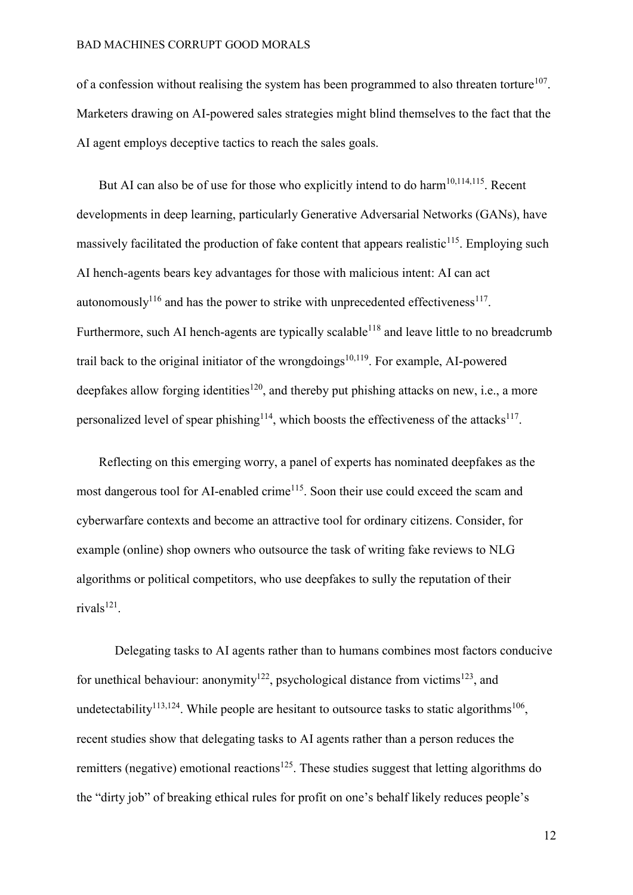of a confession without realising the system has been programmed to also threaten torture<sup>[107](https://paperpile.com/c/QSlb5j/hZUV)</sup>. Marketers drawing on AI-powered sales strategies might blind themselves to the fact that the AI agent employs deceptive tactics to reach the sales goals.

But AI can also be of use for those who explicitly intend to do harm<sup>[10,114,1](https://paperpile.com/c/QSlb5j/Po5Z+961T+zP0oE)15</sup>. Recent developments in deep learning, particularly Generative Adversarial Networks (GANs), have massively facilitated the production of fake content that appears realistic<sup>[115](https://paperpile.com/c/QSlb5j/zP0oE)</sup>. Employing such AI hench-agents bears key advantages for those with malicious intent: AI can act autonomously<sup>[116](https://paperpile.com/c/QSlb5j/evP9)</sup> and has the power to strike with unprecedented effectiveness<sup>[117](https://paperpile.com/c/QSlb5j/cki9)</sup>. Furthermore, such AI hench-agents are typically scalable<sup>[118](https://paperpile.com/c/QSlb5j/bcaM)</sup> and leave little to no breadcrumb trail back to the original initiator of the wrongdoings<sup>[10,119](https://paperpile.com/c/QSlb5j/8pxSZ+Po5Z)</sup>. For example, AI-powered deepfakes allow forging identities<sup>[12](https://paperpile.com/c/QSlb5j/RlLp)0</sup>, and thereby put phishing attacks on new, i.e., a more personalized level of spear phishing<sup>[114](https://paperpile.com/c/QSlb5j/961T)</sup>, which boosts the effectiveness of the attacks<sup>[117](https://paperpile.com/c/QSlb5j/cki9)</sup>.

Reflecting on this emerging worry, a panel of experts has nominated deepfakes as the most dangerous tool for AI-enabled crime<sup>[115](https://paperpile.com/c/QSlb5j/zP0oE)</sup>. Soon their use could exceed the scam and cyberwarfare contexts and become an attractive tool for ordinary citizens. Consider, for example (online) shop owners who outsource the task of writing fake reviews to NLG algorithms or political competitors, who use deepfakes to sully the reputation of their rivals<sup>[121](https://paperpile.com/c/QSlb5j/ucW0)</sup>.

Delegating tasks to AI agents rather than to humans combines most factors conducive for unethical behaviour: anonymity<sup>[122](https://paperpile.com/c/QSlb5j/UAA1x)</sup>, psychological distance from victims<sup>[123](https://paperpile.com/c/QSlb5j/jz3tu)</sup>, and undetectability<sup>[113,1](https://paperpile.com/c/QSlb5j/eFbMO+xHUG)24</sup>. While people are hesitant to outsource tasks to static algorithms<sup>[106](https://paperpile.com/c/QSlb5j/FoDMp)</sup>, recent studies show that delegating tasks to AI agents rather than a person reduces the remitters (negative) emotional reactions<sup>[125](https://paperpile.com/c/QSlb5j/OgOuE)</sup>. These studies suggest that letting algorithms do the "dirty job" of breaking ethical rules for profit on one's behalf likely reduces people's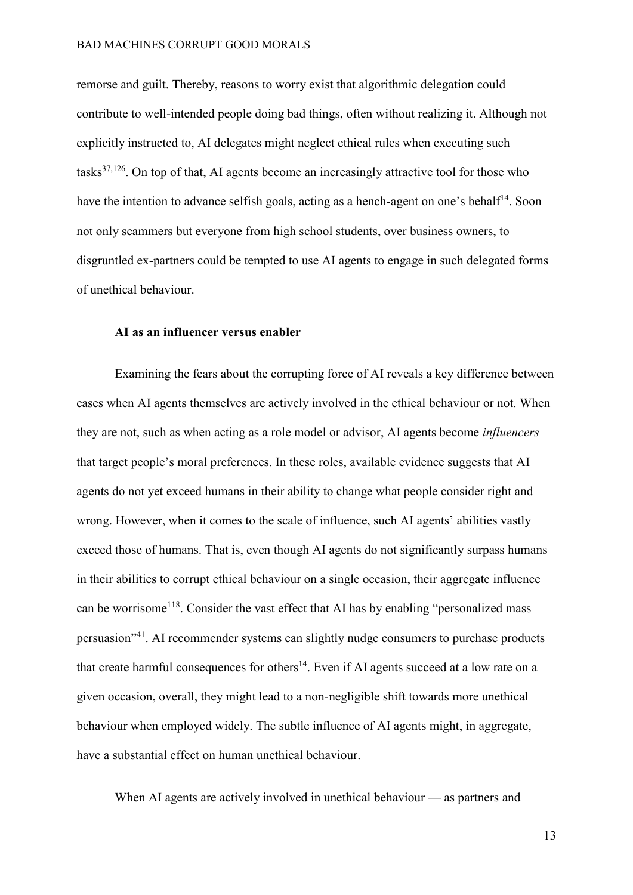remorse and guilt. Thereby, reasons to worry exist that algorithmic delegation could contribute to well-intended people doing bad things, often without realizing it. Although not explicitly instructed to, AI delegates might neglect ethical rules when executing such tasks $37,126$ . On top of that, AI agents become an increasingly attractive tool for those who have the intention to advance selfish goals, acting as a hench-agent on one's behalf<sup>[14](https://paperpile.com/c/QSlb5j/6Xem)</sup>. Soon not only scammers but everyone from high school students, over business owners, to disgruntled ex-partners could be tempted to use AI agents to engage in such delegated forms of unethical behaviour.

## **AI as an influencer versus enabler**

Examining the fears about the corrupting force of AI reveals a key difference between cases when AI agents themselves are actively involved in the ethical behaviour or not. When they are not, such as when acting as a role model or advisor, AI agents become *influencers*  that target people's moral preferences. In these roles, available evidence suggests that AI agents do not yet exceed humans in their ability to change what people consider right and wrong. However, when it comes to the scale of influence, such AI agents' abilities vastly exceed those of humans. That is, even though AI agents do not significantly surpass humans in their abilities to corrupt ethical behaviour on a single occasion, their aggregate influence can be worrisome<sup>[118](https://paperpile.com/c/QSlb5j/bcaM)</sup>. Consider the vast effect that AI has by enabling "personalized mass persuasion"[41](https://paperpile.com/c/QSlb5j/izrJU). AI recommender systems can slightly nudge consumers to purchase products that create harmful consequences for others<sup>[14](https://paperpile.com/c/QSlb5j/6Xem)</sup>. Even if AI agents succeed at a low rate on a given occasion, overall, they might lead to a non-negligible shift towards more unethical behaviour when employed widely. The subtle influence of AI agents might, in aggregate, have a substantial effect on human unethical behaviour.

When AI agents are actively involved in unethical behaviour — as partners and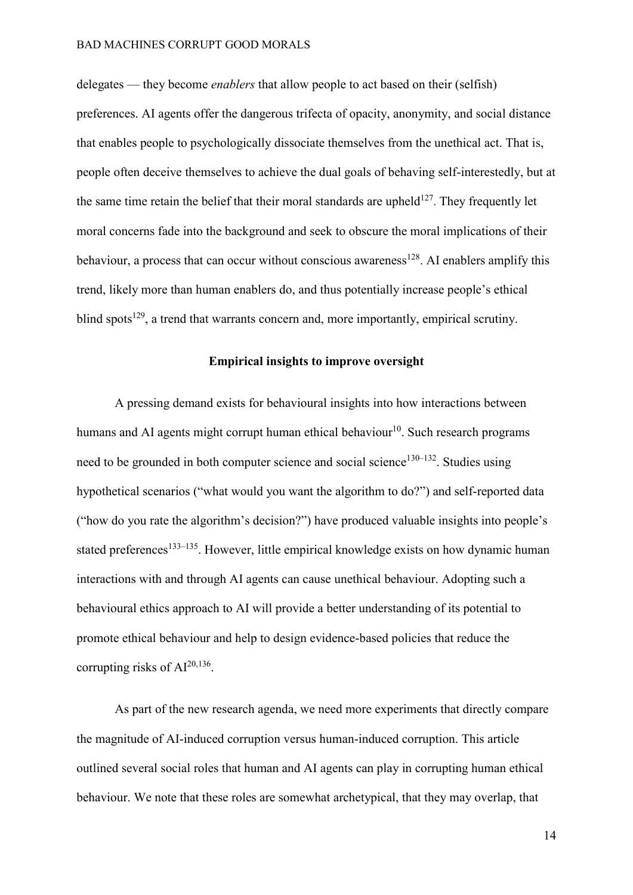delegates — they become *enablers* that allow people to act based on their (selfish) preferences. AI agents offer the dangerous trifecta of opacity, anonymity, and social distance that enables people to psychologically dissociate themselves from the unethical act. That is, people often deceive themselves to achieve the dual goals of behaving self-interestedly, but at the same time retain the belief that their moral standards are upheld<sup>[127](https://paperpile.com/c/QSlb5j/XtYu)</sup>. They frequently let moral concerns fade into the background and seek to obscure the moral implications of their behaviour, a process that can occur without conscious awareness<sup>[128](https://paperpile.com/c/QSlb5j/3CWZ)</sup>. AI enablers amplify this trend, likely more than human enablers do, and thus potentially increase people's ethical blind spots<sup>[129](https://paperpile.com/c/QSlb5j/8e5f)</sup>, a trend that warrants concern and, more importantly, empirical scrutiny.

## **Empirical insights to improve oversight**

A pressing demand exists for behavioural insights into how interactions between humans and AI agents might corrupt human ethical behaviour<sup>[10](https://paperpile.com/c/QSlb5j/Po5Z)</sup>. Such research programs need to be grounded in both computer science and social science<sup>[130](https://paperpile.com/c/QSlb5j/2T7sQ+WbhQH+ByEAE)–132</sup>. Studies using hypothetical scenarios ("what would you want the algorithm to do?") and self-reported data ("how do you rate the algorithm's decision?") have produced valuable insights into people's stated preferences<sup>[133](https://paperpile.com/c/QSlb5j/PJBYl+8pbfU+Y7yhz)–135</sup>. However, little empirical knowledge exists on how dynamic human interactions with and through AI agents can cause unethical behaviour. Adopting such a behavioural ethics approach to AI will provide a better understanding of its potential to promote ethical behaviour and help to design evidence-based policies that reduce the corrupting risks of  $Al^{20,136}$  $Al^{20,136}$  $Al^{20,136}$ .

As part of the new research agenda, we need more experiments that directly compare the magnitude of AI-induced corruption versus human-induced corruption. This article outlined several social roles that human and AI agents can play in corrupting human ethical behaviour. We note that these roles are somewhat archetypical, that they may overlap, that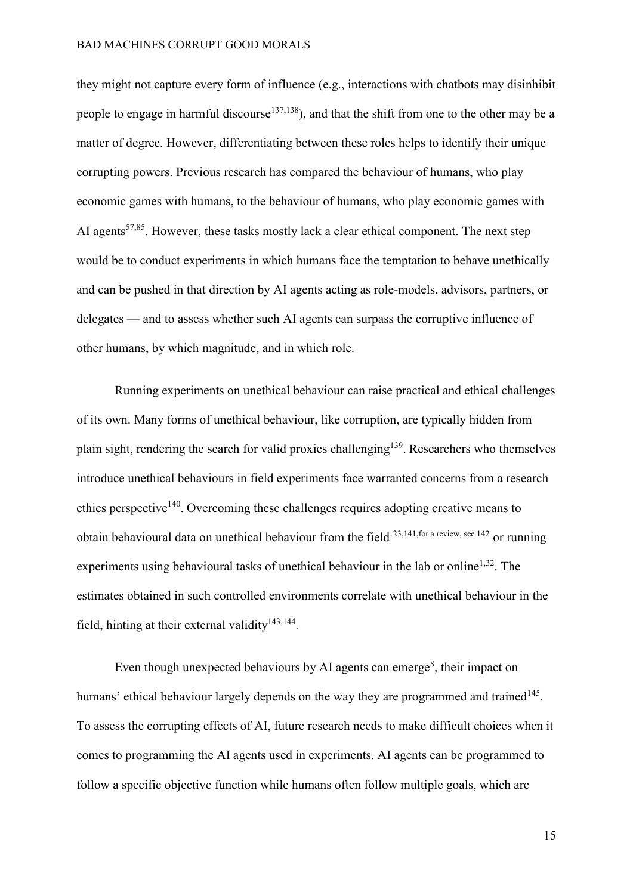they might not capture every form of influence (e.g., interactions with chatbots may disinhibit people to engage in harmful discourse<sup>[137,](https://paperpile.com/c/QSlb5j/7t3e+TqBj)138</sup>), and that the shift from one to the other may be a matter of degree. However, differentiating between these roles helps to identify their unique corrupting powers. Previous research has compared the behaviour of humans, who play economic games with humans, to the behaviour of humans, who play economic games with AI agents<sup>[57,85](https://paperpile.com/c/QSlb5j/TP3ye+8YLhv)</sup>. However, these tasks mostly lack a clear ethical component. The next step would be to conduct experiments in which humans face the temptation to behave unethically and can be pushed in that direction by AI agents acting as role-models, advisors, partners, or delegates — and to assess whether such AI agents can surpass the corruptive influence of other humans, by which magnitude, and in which role.

Running experiments on unethical behaviour can raise practical and ethical challenges of its own. Many forms of unethical behaviour, like corruption, are typically hidden from plain sight, rendering the search for valid proxies challenging<sup>[139](https://paperpile.com/c/QSlb5j/9MkJ)</sup>. Researchers who themselves introduce unethical behaviours in field experiments face warranted concerns from a research ethics perspective<sup>[14](https://paperpile.com/c/QSlb5j/lz3R)0</sup>. Overcoming these challenges requires adopting creative means to obtain behavioural data on unethical behaviour from the field  $^{23,141, for a review, see 142}$  or running experiments using behavioural tasks of unethical behaviour in the lab or online<sup> $1,32$ </sup>. The estimates obtained in such controlled environments correlate with unethical behaviour in the field, hinting at their external validity<sup>[143,](https://paperpile.com/c/QSlb5j/AERk+vG7k)144</sup>.

Even though unexpected behaviours by AI agents can emerge<sup>[8](https://paperpile.com/c/QSlb5j/oRqX)</sup>, their impact on humans' ethical behaviour largely depends on the way they are programmed and trained<sup>[145](https://paperpile.com/c/QSlb5j/euVB)</sup>. To assess the corrupting effects of AI, future research needs to make difficult choices when it comes to programming the AI agents used in experiments. AI agents can be programmed to follow a specific objective function while humans often follow multiple goals, which are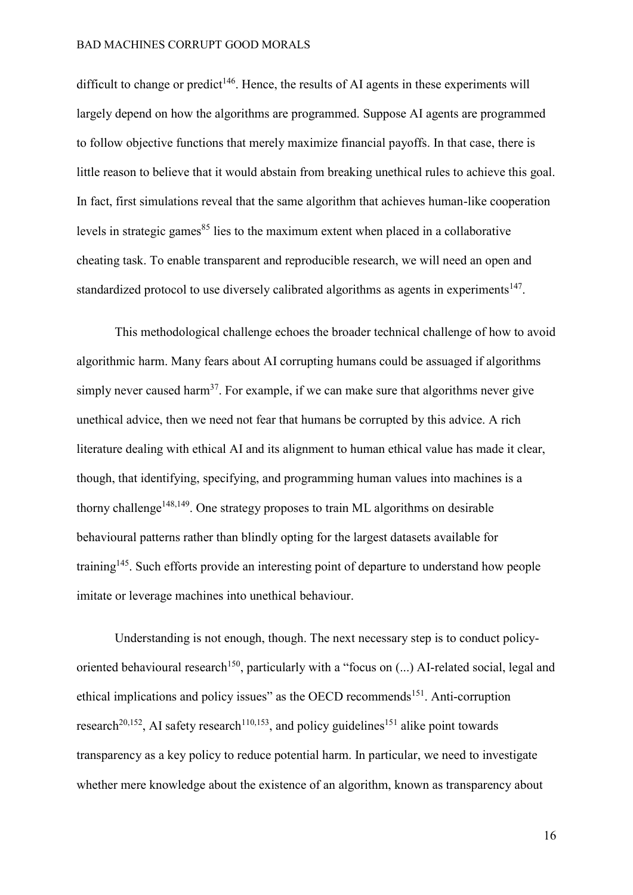difficult to change or predict<sup>[146](https://paperpile.com/c/QSlb5j/mtHhu)</sup>. Hence, the results of AI agents in these experiments will largely depend on how the algorithms are programmed. Suppose AI agents are programmed to follow objective functions that merely maximize financial payoffs. In that case, there is little reason to believe that it would abstain from breaking unethical rules to achieve this goal. In fact, first simulations reveal that the same algorithm that achieves human-like cooperation levels in strategic games<sup>[85](https://paperpile.com/c/QSlb5j/TP3ye)</sup> lies to the maximum extent when placed in a collaborative cheating task. To enable transparent and reproducible research, we will need an open and standardized protocol to use diversely calibrated algorithms as agents in experiments<sup>[147](https://paperpile.com/c/QSlb5j/7no5Z)</sup>.

This methodological challenge echoes the broader technical challenge of how to avoid algorithmic harm. Many fears about AI corrupting humans could be assuaged if algorithms simply never caused harm<sup>[37](https://paperpile.com/c/QSlb5j/GWtf8)</sup>. For example, if we can make sure that algorithms never give unethical advice, then we need not fear that humans be corrupted by this advice. A rich literature dealing with ethical AI and its alignment to human ethical value has made it clear, though, that identifying, specifying, and programming human values into machines is a thorny challenge<sup>[148,1](https://paperpile.com/c/QSlb5j/FJ56E+hxiKx)49</sup>. One strategy proposes to train ML algorithms on desirable behavioural patterns rather than blindly opting for the largest datasets available for training<sup>[145](https://paperpile.com/c/QSlb5j/euVB)</sup>. Such efforts provide an interesting point of departure to understand how people imitate or leverage machines into unethical behaviour.

Understanding is not enough, though. The next necessary step is to conduct policy-oriented behavioural research<sup>[15](https://paperpile.com/c/QSlb5j/aJ1QL)0</sup>, particularly with a "focus on  $(...)$  AI-related social, legal and ethical implications and policy issues" as the OECD recommends<sup>[151](https://paperpile.com/c/QSlb5j/kxPS)</sup>. Anti-corruption research<sup>[20,152](https://paperpile.com/c/QSlb5j/NiZcl+4rD40)</sup>, AI safety research<sup>[110,1](https://paperpile.com/c/QSlb5j/T8yBK+pR4Gx)53</sup>, and policy guidelines<sup>[151](https://paperpile.com/c/QSlb5j/kxPS)</sup> alike point towards transparency as a key policy to reduce potential harm. In particular, we need to investigate whether mere knowledge about the existence of an algorithm, known as transparency about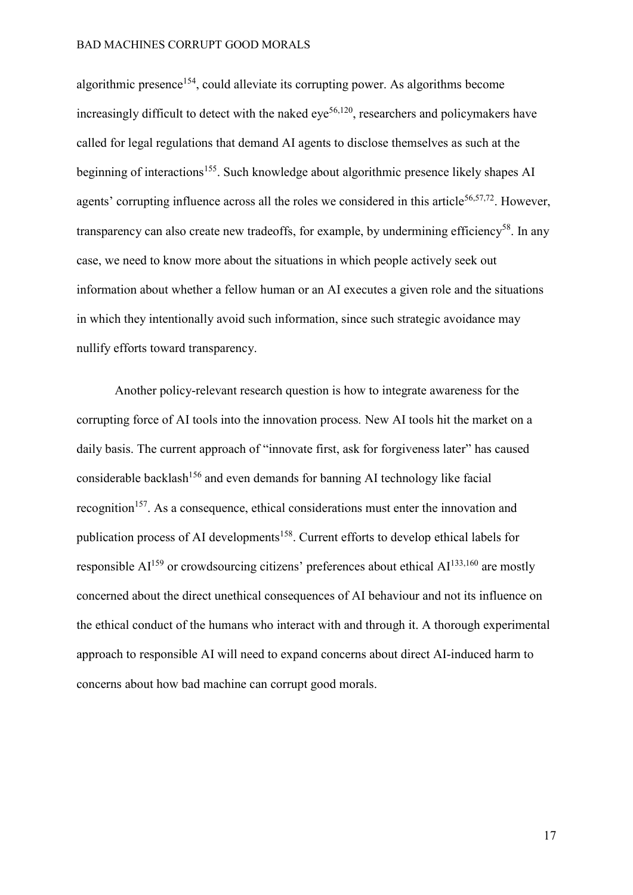algorithmic presence<sup>[154](https://paperpile.com/c/QSlb5j/1GaY)</sup>, could alleviate its corrupting power. As algorithms become increasingly difficult to detect with the naked eye<sup>[56,12](https://paperpile.com/c/QSlb5j/RlLp+N9NsF)0</sup>, researchers and policymakers have called for legal regulations that demand AI agents to disclose themselves as such at the beginning of interactions<sup>[155](https://paperpile.com/c/QSlb5j/Nixut)</sup>. Such knowledge about algorithmic presence likely shapes AI agents' corrupting influence across all the roles we considered in this article<sup>[56,57,72](https://paperpile.com/c/QSlb5j/N9NsF+8YLhv+l9T56)</sup>. However, transparency can also create new tradeoffs, for example, by undermining efficiency<sup>[58](https://paperpile.com/c/QSlb5j/8YLhv)</sup>. In any case, we need to know more about the situations in which people actively seek out information about whether a fellow human or an AI executes a given role and the situations in which they intentionally avoid such information, since such strategic avoidance may nullify efforts toward transparency.

Another policy-relevant research question is how to integrate awareness for the corrupting force of AI tools into the innovation process*.* New AI tools hit the market on a daily basis. The current approach of "innovate first, ask for forgiveness later" has caused considerable backlash<sup>[156](https://paperpile.com/c/QSlb5j/lIVfP)</sup> and even demands for banning AI technology like facial recognition<sup>[157](https://paperpile.com/c/QSlb5j/t3L1l)</sup>. As a consequence, ethical considerations must enter the innovation and publication process of AI developments<sup>[158](https://paperpile.com/c/QSlb5j/eAuH)</sup>. Current efforts to develop ethical labels for responsible  $AI^{159}$  $AI^{159}$  $AI^{159}$  or crowdsourcing citizens' preferences about ethical  $AI^{133,160}$  $AI^{133,160}$  $AI^{133,160}$  are mostly concerned about the direct unethical consequences of AI behaviour and not its influence on the ethical conduct of the humans who interact with and through it. A thorough experimental approach to responsible AI will need to expand concerns about direct AI-induced harm to concerns about how bad machine can corrupt good morals.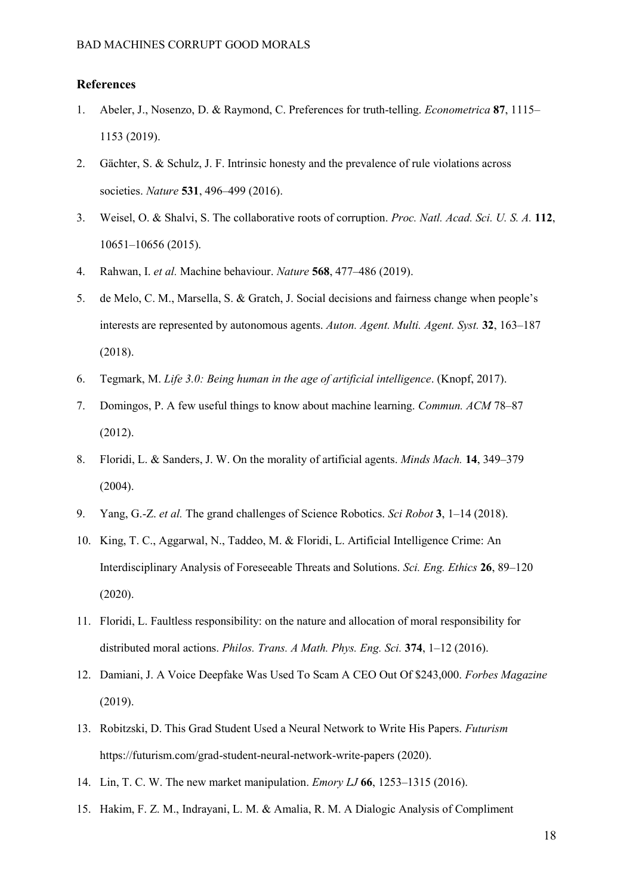#### **References**

- 1. [Abeler, J., Nosenzo, D. & Raymond, C. Preferences for truth‐telling.](http://paperpile.com/b/QSlb5j/tBuUh) *[Econometrica](http://paperpile.com/b/QSlb5j/tBuUh)* **[87](http://paperpile.com/b/QSlb5j/tBuUh)**[, 1115](http://paperpile.com/b/QSlb5j/tBuUh) [1153 \(2019\).](http://paperpile.com/b/QSlb5j/tBuUh)
- 2. [Gächter, S. & Schulz, J. F. Intrinsic honesty and the prevalence of rule violations across](http://paperpile.com/b/QSlb5j/AzcZp)  [societies.](http://paperpile.com/b/QSlb5j/AzcZp) *[Nature](http://paperpile.com/b/QSlb5j/AzcZp)* **[531](http://paperpile.com/b/QSlb5j/AzcZp)**, 496–[499 \(2016\).](http://paperpile.com/b/QSlb5j/AzcZp)
- 3. [Weisel, O. & Shalvi, S. The collaborative roots of corruption.](http://paperpile.com/b/QSlb5j/rEl2) *[Proc. Natl. Acad. Sci. U. S. A.](http://paperpile.com/b/QSlb5j/rEl2)* **[112](http://paperpile.com/b/QSlb5j/rEl2)**[,](http://paperpile.com/b/QSlb5j/rEl2)  10651–[10656 \(2015\).](http://paperpile.com/b/QSlb5j/rEl2)
- 4. [Rahwan, I.](http://paperpile.com/b/QSlb5j/Yb6tW) *[et al.](http://paperpile.com/b/QSlb5j/Yb6tW)* [Machine behaviour.](http://paperpile.com/b/QSlb5j/Yb6tW) *[Nature](http://paperpile.com/b/QSlb5j/Yb6tW)* **[568](http://paperpile.com/b/QSlb5j/Yb6tW)**, 477–[486 \(2019\).](http://paperpile.com/b/QSlb5j/Yb6tW)
- 5. [de Melo, C. M., Marsella, S. & Gratch, J. Social decisions and fairness change when people's](http://paperpile.com/b/QSlb5j/N4md4)  [interests are represented by autonomous agents.](http://paperpile.com/b/QSlb5j/N4md4) *[Auton. Agent. Multi. Agent. Syst.](http://paperpile.com/b/QSlb5j/N4md4)* **[32](http://paperpile.com/b/QSlb5j/N4md4)**[, 163](http://paperpile.com/b/QSlb5j/N4md4)–187 [\(2018\).](http://paperpile.com/b/QSlb5j/N4md4)
- 6. [Tegmark, M.](http://paperpile.com/b/QSlb5j/vCr1) *[Life 3.0: Being human in the age of artificial intelligence](http://paperpile.com/b/QSlb5j/vCr1)*[. \(Knopf, 2017\).](http://paperpile.com/b/QSlb5j/vCr1)
- 7. [Domingos, P. A few useful things to know about machine learning.](http://paperpile.com/b/QSlb5j/yOtK) *[Commun. ACM](http://paperpile.com/b/QSlb5j/yOtK)* 78–[87](http://paperpile.com/b/QSlb5j/yOtK)  [\(2012\).](http://paperpile.com/b/QSlb5j/yOtK)
- 8. [Floridi, L. & Sanders, J. W. On the morality of artificial agents.](http://paperpile.com/b/QSlb5j/oRqX) *[Minds Mach.](http://paperpile.com/b/QSlb5j/oRqX)* **[14](http://paperpile.com/b/QSlb5j/oRqX)**[, 349](http://paperpile.com/b/QSlb5j/oRqX)–379 [\(2004\).](http://paperpile.com/b/QSlb5j/oRqX)
- 9. [Yang, G.-Z.](http://paperpile.com/b/QSlb5j/APrD) *[et al.](http://paperpile.com/b/QSlb5j/APrD)* [The grand challenges of Science Robotics.](http://paperpile.com/b/QSlb5j/APrD) *[Sci Robot](http://paperpile.com/b/QSlb5j/APrD)* **[3](http://paperpile.com/b/QSlb5j/APrD)**, 1–[14 \(2018\).](http://paperpile.com/b/QSlb5j/APrD)
- 10. [King, T. C., Aggarwal, N., Taddeo, M. & Floridi, L. Artificial Intelligence Crime: An](http://paperpile.com/b/QSlb5j/Po5Z)  [Interdisciplinary Analysis of Foreseeable Threats and Solutions.](http://paperpile.com/b/QSlb5j/Po5Z) *[Sci. Eng. Ethics](http://paperpile.com/b/QSlb5j/Po5Z)* **[26](http://paperpile.com/b/QSlb5j/Po5Z)**, 89–[120](http://paperpile.com/b/QSlb5j/Po5Z)  [\(2020\).](http://paperpile.com/b/QSlb5j/Po5Z)
- 11. [Floridi, L. Faultless responsibility: on the nature and allocation of moral responsibility for](http://paperpile.com/b/QSlb5j/aioM)  [distributed moral actions.](http://paperpile.com/b/QSlb5j/aioM) *[Philos. Trans. A Math. Phys. Eng. Sci.](http://paperpile.com/b/QSlb5j/aioM)* **[374](http://paperpile.com/b/QSlb5j/aioM)**, 1–[12 \(2016\).](http://paperpile.com/b/QSlb5j/aioM)
- 12. [Damiani, J. A Voice Deepfake Was Used To Scam A CEO Out Of \\$243,000.](http://paperpile.com/b/QSlb5j/sBucr) *[Forbes Magazine](http://paperpile.com/b/QSlb5j/sBucr)* [\(2019\).](http://paperpile.com/b/QSlb5j/sBucr)
- 13. [Robitzski, D. This Grad Student Used a Neural Network to Write His Papers.](http://paperpile.com/b/QSlb5j/svyOB) *[Futurism](http://paperpile.com/b/QSlb5j/svyOB)* <https://futurism.com/grad-student-neural-network-write-papers> [\(2020\).](http://paperpile.com/b/QSlb5j/svyOB)
- 14. [Lin, T. C. W. The new market manipulation.](http://paperpile.com/b/QSlb5j/6Xem) *[Emory LJ](http://paperpile.com/b/QSlb5j/6Xem)* **[66](http://paperpile.com/b/QSlb5j/6Xem)**, 1253–[1315 \(2016\).](http://paperpile.com/b/QSlb5j/6Xem)
- 15. [Hakim, F. Z. M., Indrayani, L. M. & Amalia, R. M. A Dialogic Analysis of Compliment](http://paperpile.com/b/QSlb5j/Adok)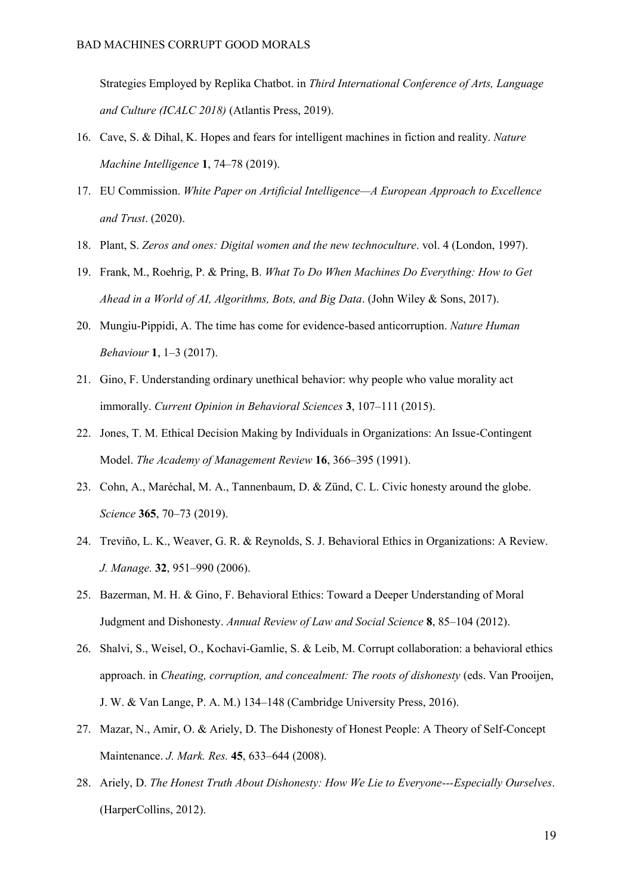[Strategies Employed by Replika Chatbot. in](http://paperpile.com/b/QSlb5j/Adok) *[Third International Conference of Arts, Language](http://paperpile.com/b/QSlb5j/Adok)  [and Culture \(ICALC 2018\)](http://paperpile.com/b/QSlb5j/Adok)* [\(Atlantis Press, 2019\).](http://paperpile.com/b/QSlb5j/Adok)

- 16. [Cave, S. & Dihal, K. Hopes and fears for intelligent machines in fiction and reality.](http://paperpile.com/b/QSlb5j/LLMH1) *[Nature](http://paperpile.com/b/QSlb5j/LLMH1)  [Machine Intelligence](http://paperpile.com/b/QSlb5j/LLMH1)* **[1](http://paperpile.com/b/QSlb5j/LLMH1)**, 74–[78 \(2019\).](http://paperpile.com/b/QSlb5j/LLMH1)
- 17. [EU Commission.](http://paperpile.com/b/QSlb5j/N8nT) *[White Paper on Artificial Intelligence](http://paperpile.com/b/QSlb5j/N8nT)—A European Approach to Excellence [and Trust](http://paperpile.com/b/QSlb5j/N8nT)*[. \(2020\).](http://paperpile.com/b/QSlb5j/N8nT)
- 18. [Plant, S.](http://paperpile.com/b/QSlb5j/6XNg) *[Zeros and ones: Digital women and the new technoculture](http://paperpile.com/b/QSlb5j/6XNg)*[. vol. 4 \(London, 1997\).](http://paperpile.com/b/QSlb5j/6XNg)
- 19. [Frank, M., Roehrig, P. & Pring, B.](http://paperpile.com/b/QSlb5j/LARuH) *[What To Do When Machines Do Everything: How to Get](http://paperpile.com/b/QSlb5j/LARuH)  [Ahead in a World of AI, Algorithms, Bots, and Big Data](http://paperpile.com/b/QSlb5j/LARuH)*[. \(John Wiley & Sons, 2017\).](http://paperpile.com/b/QSlb5j/LARuH)
- 20. [Mungiu-Pippidi, A. The time has come for evidence-based anticorruption.](http://paperpile.com/b/QSlb5j/4rD40) *[Nature Human](http://paperpile.com/b/QSlb5j/4rD40)  [Behaviour](http://paperpile.com/b/QSlb5j/4rD40)* **[1](http://paperpile.com/b/QSlb5j/4rD40)**, 1–[3 \(2017\).](http://paperpile.com/b/QSlb5j/4rD40)
- 21. [Gino, F. Understanding ordinary unethical behavior: why people who value morality act](http://paperpile.com/b/QSlb5j/tfkz)  [immorally.](http://paperpile.com/b/QSlb5j/tfkz) *[Current Opinion in Behavioral Sciences](http://paperpile.com/b/QSlb5j/tfkz)* **[3](http://paperpile.com/b/QSlb5j/tfkz)**, 107–[111 \(2015\).](http://paperpile.com/b/QSlb5j/tfkz)
- 22. [Jones, T. M. Ethical Decision Making by Individuals in Organizations: An Issue-Contingent](http://paperpile.com/b/QSlb5j/tiXV)  [Model.](http://paperpile.com/b/QSlb5j/tiXV) *[The Academy of Management Review](http://paperpile.com/b/QSlb5j/tiXV)* **[16](http://paperpile.com/b/QSlb5j/tiXV)**, 366–[395 \(1991\).](http://paperpile.com/b/QSlb5j/tiXV)
- 23. [Cohn, A., Maréchal, M. A., Tannenbaum, D. & Zünd, C. L. Civic honesty around the globe.](http://paperpile.com/b/QSlb5j/wIHm5)  *[Science](http://paperpile.com/b/QSlb5j/wIHm5)* **[365](http://paperpile.com/b/QSlb5j/wIHm5)**, 70–[73 \(2019\).](http://paperpile.com/b/QSlb5j/wIHm5)
- 24. [Treviño, L. K., Weaver, G. R. & Reynolds, S. J. Behavioral Ethics in Organizations: A Review.](http://paperpile.com/b/QSlb5j/BfZrf)  *[J. Manage.](http://paperpile.com/b/QSlb5j/BfZrf)* **[32](http://paperpile.com/b/QSlb5j/BfZrf)**, 951–[990 \(2006\).](http://paperpile.com/b/QSlb5j/BfZrf)
- 25. [Bazerman, M. H. & Gino, F. Behavioral Ethics: Toward a Deeper](http://paperpile.com/b/QSlb5j/aqK4) Understanding of Moral [Judgment and Dishonesty.](http://paperpile.com/b/QSlb5j/aqK4) *[Annual Review of Law and Social Science](http://paperpile.com/b/QSlb5j/aqK4)* **[8](http://paperpile.com/b/QSlb5j/aqK4)**, 85–[104 \(2012\).](http://paperpile.com/b/QSlb5j/aqK4)
- 26. [Shalvi, S., Weisel, O., Kochavi-Gamlie, S. & Leib, M. Corrupt collaboration: a behavioral ethics](http://paperpile.com/b/QSlb5j/fO9Ve)  [approach. in](http://paperpile.com/b/QSlb5j/fO9Ve) *[Cheating, corruption, and concealment: The roots of dishonesty](http://paperpile.com/b/QSlb5j/fO9Ve)* [\(eds. Van Prooijen,](http://paperpile.com/b/QSlb5j/fO9Ve)  [J. W. & Van Lange, P. A. M.\) 134](http://paperpile.com/b/QSlb5j/fO9Ve)–148 (Cambridge University Press, 2016).
- 27. [Mazar, N., Amir, O. & Ariely, D. The Dishonesty of Honest People: A Theory of Self-Concept](http://paperpile.com/b/QSlb5j/lTmc9)  [Maintenance.](http://paperpile.com/b/QSlb5j/lTmc9) *[J. Mark. Res.](http://paperpile.com/b/QSlb5j/lTmc9)* **[45](http://paperpile.com/b/QSlb5j/lTmc9)**, 633–[644 \(2008\).](http://paperpile.com/b/QSlb5j/lTmc9)
- 28. [Ariely, D.](http://paperpile.com/b/QSlb5j/feRrI) *[The Honest Truth About Dishonesty: How We Lie to Everyone---Especially Ourselves](http://paperpile.com/b/QSlb5j/feRrI)*[.](http://paperpile.com/b/QSlb5j/feRrI)  [\(HarperCollins, 2012\).](http://paperpile.com/b/QSlb5j/feRrI)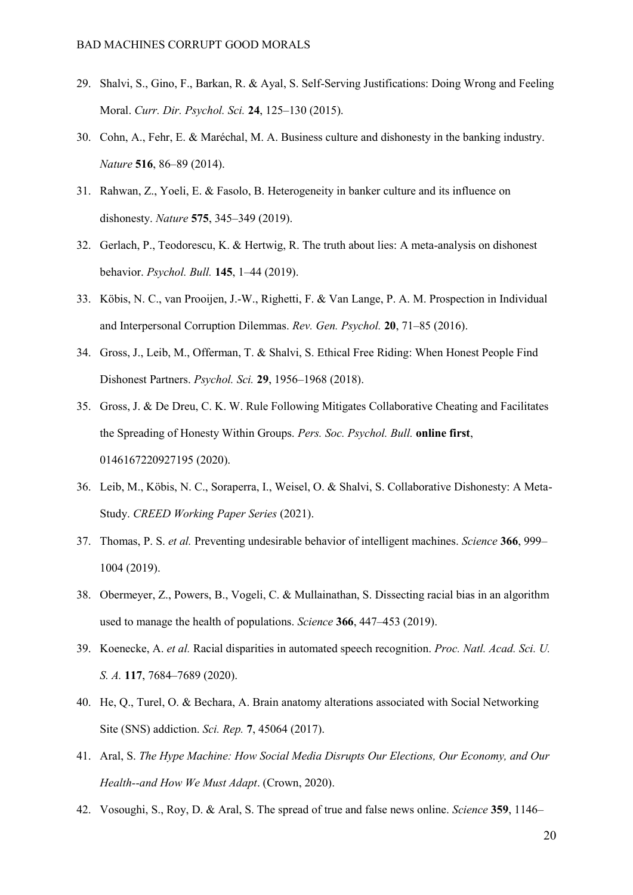- 29. [Shalvi, S., Gino, F., Barkan, R. & Ayal, S. Self-Serving Justifications: Doing Wrong and Feeling](http://paperpile.com/b/QSlb5j/Y2RDO)  [Moral.](http://paperpile.com/b/QSlb5j/Y2RDO) *[Curr. Dir. Psychol. Sci.](http://paperpile.com/b/QSlb5j/Y2RDO)* **[24](http://paperpile.com/b/QSlb5j/Y2RDO)**, 125–[130 \(2015\).](http://paperpile.com/b/QSlb5j/Y2RDO)
- 30. [Cohn, A., Fehr, E. & Maréchal, M. A. Business culture and dishonesty in the banking industry.](http://paperpile.com/b/QSlb5j/g16O1)  *[Nature](http://paperpile.com/b/QSlb5j/g16O1)* **[516](http://paperpile.com/b/QSlb5j/g16O1)**, 86–[89 \(2014\).](http://paperpile.com/b/QSlb5j/g16O1)
- 31. [Rahwan, Z., Yoeli, E. & Fasolo, B. Heterogeneity in banker culture and its influence on](http://paperpile.com/b/QSlb5j/G4dM8)  [dishonesty.](http://paperpile.com/b/QSlb5j/G4dM8) *[Nature](http://paperpile.com/b/QSlb5j/G4dM8)* **[575](http://paperpile.com/b/QSlb5j/G4dM8)**, 345–[349 \(2019\).](http://paperpile.com/b/QSlb5j/G4dM8)
- 32. [Gerlach, P., Teodorescu, K. & Hertwig, R. The truth about lies: A meta-analysis on dishonest](http://paperpile.com/b/QSlb5j/AfeLC)  [behavior.](http://paperpile.com/b/QSlb5j/AfeLC) *[Psychol. Bull.](http://paperpile.com/b/QSlb5j/AfeLC)* **[145](http://paperpile.com/b/QSlb5j/AfeLC)**, 1–[44 \(2019\).](http://paperpile.com/b/QSlb5j/AfeLC)
- 33. [Köbis, N. C., van Prooijen, J.-W., Righetti, F. & Van Lange, P. A. M. Prospection in Individual](http://paperpile.com/b/QSlb5j/1mbH)  [and Interpersonal Corruption Dilemmas.](http://paperpile.com/b/QSlb5j/1mbH) *[Rev. Gen. Psychol.](http://paperpile.com/b/QSlb5j/1mbH)* **[20](http://paperpile.com/b/QSlb5j/1mbH)**, 71–[85 \(2016\).](http://paperpile.com/b/QSlb5j/1mbH)
- 34. [Gross, J., Leib, M., Offerman, T. & Shalvi, S. Ethical Free Riding: When Honest People Find](http://paperpile.com/b/QSlb5j/Z2ZA)  [Dishonest Partners.](http://paperpile.com/b/QSlb5j/Z2ZA) *[Psychol. Sci.](http://paperpile.com/b/QSlb5j/Z2ZA)* **[29](http://paperpile.com/b/QSlb5j/Z2ZA)**, 1956–[1968 \(2018\).](http://paperpile.com/b/QSlb5j/Z2ZA)
- 35. [Gross, J. & De Dreu, C. K. W. Rule Following Mitigates Collaborative Cheating and Facilitates](http://paperpile.com/b/QSlb5j/kdrAE)  [the Spreading of Honesty Within Groups.](http://paperpile.com/b/QSlb5j/kdrAE) *[Pers. Soc. Psychol. Bull.](http://paperpile.com/b/QSlb5j/kdrAE)* **[online first](http://paperpile.com/b/QSlb5j/kdrAE)**[,](http://paperpile.com/b/QSlb5j/kdrAE)  [0146167220927195 \(2020\).](http://paperpile.com/b/QSlb5j/kdrAE)
- 36. [Leib, M., Köbis, N. C., Soraperra, I., Weisel, O. & Shalvi, S. Collaborative Dishonesty: A Meta-](http://paperpile.com/b/QSlb5j/jTeV)[Study.](http://paperpile.com/b/QSlb5j/jTeV) *[CREED Working Paper Series](http://paperpile.com/b/QSlb5j/jTeV)* [\(2021\).](http://paperpile.com/b/QSlb5j/jTeV)
- 37. [Thomas, P. S.](http://paperpile.com/b/QSlb5j/GWtf8) *[et al.](http://paperpile.com/b/QSlb5j/GWtf8)* [Preventing undesirable behavior of intelligent machines.](http://paperpile.com/b/QSlb5j/GWtf8) *[Science](http://paperpile.com/b/QSlb5j/GWtf8)* **[366](http://paperpile.com/b/QSlb5j/GWtf8)**[, 999](http://paperpile.com/b/QSlb5j/GWtf8) [1004 \(2019\).](http://paperpile.com/b/QSlb5j/GWtf8)
- 38. [Obermeyer, Z., Powers, B., Vogeli, C. & Mullainathan, S. Dissecting racial bias in an algorithm](http://paperpile.com/b/QSlb5j/1u7FD)  [used to manage the health of populations.](http://paperpile.com/b/QSlb5j/1u7FD) *[Science](http://paperpile.com/b/QSlb5j/1u7FD)* **[366](http://paperpile.com/b/QSlb5j/1u7FD)**, 447–[453 \(2019\).](http://paperpile.com/b/QSlb5j/1u7FD)
- 39. [Koenecke, A.](http://paperpile.com/b/QSlb5j/57cKT) *[et al.](http://paperpile.com/b/QSlb5j/57cKT)* [Racial disparities in automated speech recognition.](http://paperpile.com/b/QSlb5j/57cKT) *[Proc. Natl. Acad. Sci. U.](http://paperpile.com/b/QSlb5j/57cKT)  [S. A.](http://paperpile.com/b/QSlb5j/57cKT)* **[117](http://paperpile.com/b/QSlb5j/57cKT)**, 7684–[7689 \(2020\).](http://paperpile.com/b/QSlb5j/57cKT)
- 40. [He, Q., Turel, O. & Bechara, A. Brain anatomy alterations associated with Social Networking](http://paperpile.com/b/QSlb5j/ZFaet)  [Site \(SNS\) addiction.](http://paperpile.com/b/QSlb5j/ZFaet) *[Sci. Rep.](http://paperpile.com/b/QSlb5j/ZFaet)* **[7](http://paperpile.com/b/QSlb5j/ZFaet)**[, 45064 \(2017\).](http://paperpile.com/b/QSlb5j/ZFaet)
- 41. [Aral, S.](http://paperpile.com/b/QSlb5j/izrJU) *[The Hype Machine: How Social Media Disrupts Our Elections, Our Economy, and Our](http://paperpile.com/b/QSlb5j/izrJU)  [Health--and How We Must Adapt](http://paperpile.com/b/QSlb5j/izrJU)*[. \(Crown, 2020\).](http://paperpile.com/b/QSlb5j/izrJU)
- 42. [Vosoughi, S., Roy, D. & Aral, S. The spread of true and false news online.](http://paperpile.com/b/QSlb5j/bhKU) *[Science](http://paperpile.com/b/QSlb5j/bhKU)* **[359](http://paperpile.com/b/QSlb5j/bhKU)**[, 1146](http://paperpile.com/b/QSlb5j/bhKU)–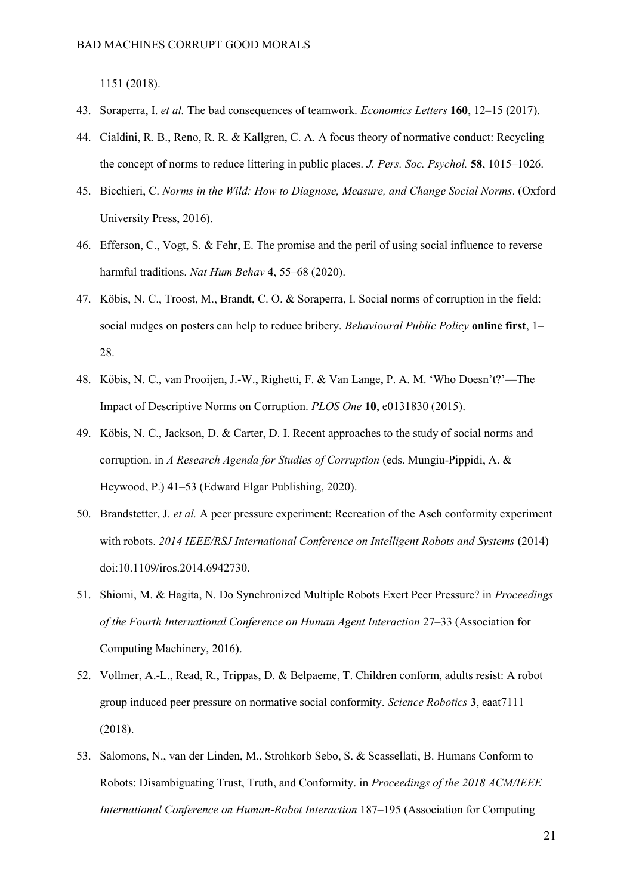[1151 \(2018\).](http://paperpile.com/b/QSlb5j/bhKU)

- 43. [Soraperra, I.](http://paperpile.com/b/QSlb5j/MceDZ) *[et al.](http://paperpile.com/b/QSlb5j/MceDZ)* [The bad consequences of teamwork.](http://paperpile.com/b/QSlb5j/MceDZ) *[Economics Letters](http://paperpile.com/b/QSlb5j/MceDZ)* **[160](http://paperpile.com/b/QSlb5j/MceDZ)**, 12–[15 \(2017\).](http://paperpile.com/b/QSlb5j/MceDZ)
- 44. [Cialdini, R. B., Reno, R. R. & Kallgren, C. A. A focus theory of normative conduct: Recycling](http://paperpile.com/b/QSlb5j/QrlE2)  [the concept of norms to reduce littering in public places.](http://paperpile.com/b/QSlb5j/QrlE2) *[J. Pers. Soc. Psychol.](http://paperpile.com/b/QSlb5j/QrlE2)* **[58](http://paperpile.com/b/QSlb5j/QrlE2)**[, 1015](http://paperpile.com/b/QSlb5j/QrlE2)–1026.
- 45. [Bicchieri, C.](http://paperpile.com/b/QSlb5j/Wz8er) *[Norms in the Wild: How to Diagnose, Measure, and Change Social Norms](http://paperpile.com/b/QSlb5j/Wz8er)*[. \(Oxford](http://paperpile.com/b/QSlb5j/Wz8er)  [University Press, 2016\).](http://paperpile.com/b/QSlb5j/Wz8er)
- 46. [Efferson, C., Vogt, S. & Fehr, E. The promise and the peril of using social influence to reverse](http://paperpile.com/b/QSlb5j/hsHA)  [harmful traditions.](http://paperpile.com/b/QSlb5j/hsHA) *[Nat Hum Behav](http://paperpile.com/b/QSlb5j/hsHA)* **[4](http://paperpile.com/b/QSlb5j/hsHA)**, 55–[68 \(2020\).](http://paperpile.com/b/QSlb5j/hsHA)
- 47. [Köbis, N. C., Troost, M., Brandt, C. O. & Soraperra, I. Social norms of corruption in the field:](http://paperpile.com/b/QSlb5j/iiNAu)  [social nudges on posters can help to reduce bribery.](http://paperpile.com/b/QSlb5j/iiNAu) *[Behavioural Public Policy](http://paperpile.com/b/QSlb5j/iiNAu)* **[online first](http://paperpile.com/b/QSlb5j/iiNAu)**[, 1](http://paperpile.com/b/QSlb5j/iiNAu)– [28.](http://paperpile.com/b/QSlb5j/iiNAu)
- 48. Köbis, N. C., van Prooijen, J.-[W., Righetti, F. & Van Lange, P. A. M. 'Who Doesn't?'—](http://paperpile.com/b/QSlb5j/5WmzB)The [Impact of Descriptive Norms on Corruption.](http://paperpile.com/b/QSlb5j/5WmzB) *[PLOS One](http://paperpile.com/b/QSlb5j/5WmzB)* **[10](http://paperpile.com/b/QSlb5j/5WmzB)**[, e0131830 \(2015\).](http://paperpile.com/b/QSlb5j/5WmzB)
- 49. [Köbis, N. C., Jackson, D. & Carter, D. I. Recent approaches to the study of social norms and](http://paperpile.com/b/QSlb5j/L3iIV)  [corruption. in](http://paperpile.com/b/QSlb5j/L3iIV) *[A Research Agenda for Studies of Corruption](http://paperpile.com/b/QSlb5j/L3iIV)* [\(eds. Mungiu-Pippidi, A. &](http://paperpile.com/b/QSlb5j/L3iIV)  Heywood, P.) 41–[53 \(Edward Elgar Publishing, 2020\).](http://paperpile.com/b/QSlb5j/L3iIV)
- 50. [Brandstetter, J.](http://paperpile.com/b/QSlb5j/VEeiK) *[et al.](http://paperpile.com/b/QSlb5j/VEeiK)* [A peer pressure experiment: Recreation of the Asch conformity experiment](http://paperpile.com/b/QSlb5j/VEeiK)  [with robots.](http://paperpile.com/b/QSlb5j/VEeiK) *[2014 IEEE/RSJ International Conference on Intelligent Robots and Systems](http://paperpile.com/b/QSlb5j/VEeiK)* [\(2014\)](http://paperpile.com/b/QSlb5j/VEeiK)  [doi:](http://paperpile.com/b/QSlb5j/VEeiK)[10.1109/iros.2014.6942730](http://dx.doi.org/10.1109/iros.2014.6942730)[.](http://paperpile.com/b/QSlb5j/VEeiK)
- 51. [Shiomi, M. & Hagita, N. Do Synchronized Multiple Robots Exert Peer Pressure? in](http://paperpile.com/b/QSlb5j/WdMmq) *[Proceedings](http://paperpile.com/b/QSlb5j/WdMmq)  [of the Fourth International Conference on Human Agent Interaction](http://paperpile.com/b/QSlb5j/WdMmq)* 27–[33 \(Association for](http://paperpile.com/b/QSlb5j/WdMmq)  [Computing Machinery, 2016\).](http://paperpile.com/b/QSlb5j/WdMmq)
- 52. [Vollmer, A.-L., Read, R., Trippas, D. & Belpaeme, T. Children conform, adults resist: A robot](http://paperpile.com/b/QSlb5j/Zxqvu)  [group induced peer pressure on normative social conformity.](http://paperpile.com/b/QSlb5j/Zxqvu) *[Science Robotics](http://paperpile.com/b/QSlb5j/Zxqvu)* **[3](http://paperpile.com/b/QSlb5j/Zxqvu)**[, eaat7111](http://paperpile.com/b/QSlb5j/Zxqvu)  [\(2018\).](http://paperpile.com/b/QSlb5j/Zxqvu)
- 53. [Salomons, N., van der Linden, M., Strohkorb Sebo, S. & Scassellati, B. Humans Conform to](http://paperpile.com/b/QSlb5j/LoFIM)  [Robots: Disambiguating Trust, Truth, and Conformity. in](http://paperpile.com/b/QSlb5j/LoFIM) *[Proceedings of the 2018 ACM/IEEE](http://paperpile.com/b/QSlb5j/LoFIM)  [International Conference on Human-Robot Interaction](http://paperpile.com/b/QSlb5j/LoFIM)* 187–[195 \(Association for Computing](http://paperpile.com/b/QSlb5j/LoFIM)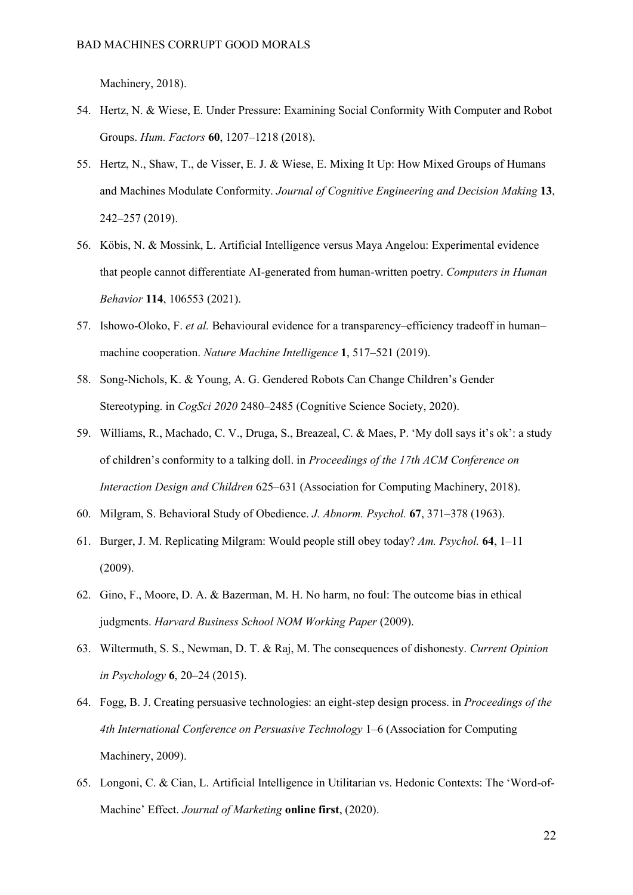[Machinery, 2018\).](http://paperpile.com/b/QSlb5j/LoFIM)

- 54. [Hertz, N. & Wiese, E. Under Pressure: Examining Social Conformity With Computer and Robot](http://paperpile.com/b/QSlb5j/26PQA)  [Groups.](http://paperpile.com/b/QSlb5j/26PQA) *[Hum. Factors](http://paperpile.com/b/QSlb5j/26PQA)* **[60](http://paperpile.com/b/QSlb5j/26PQA)**, 1207–[1218 \(2018\).](http://paperpile.com/b/QSlb5j/26PQA)
- 55. [Hertz, N., Shaw, T., de Visser, E. J. & Wiese, E. Mixing It Up: How Mixed Groups of Humans](http://paperpile.com/b/QSlb5j/imyVq)  [and Machines Modulate Conformity.](http://paperpile.com/b/QSlb5j/imyVq) *[Journal of Cognitive Engineering and Decision Making](http://paperpile.com/b/QSlb5j/imyVq)* **[13](http://paperpile.com/b/QSlb5j/imyVq)**[,](http://paperpile.com/b/QSlb5j/imyVq)  242–[257 \(2019\).](http://paperpile.com/b/QSlb5j/imyVq)
- 56. [Köbis, N. & Mossink, L. Artificial Intelligence versus Maya Angelou: Experimental evidence](http://paperpile.com/b/QSlb5j/N9NsF)  [that people cannot differentiate AI-generated from human-written poetry.](http://paperpile.com/b/QSlb5j/N9NsF) *[Computers in Human](http://paperpile.com/b/QSlb5j/N9NsF)  [Behavior](http://paperpile.com/b/QSlb5j/N9NsF)* **[114](http://paperpile.com/b/QSlb5j/N9NsF)**[, 106553 \(2021\).](http://paperpile.com/b/QSlb5j/N9NsF)
- 57. [Ishowo-Oloko, F.](http://paperpile.com/b/QSlb5j/8YLhv) *[et al.](http://paperpile.com/b/QSlb5j/8YLhv)* [Behavioural evidence for a transparency](http://paperpile.com/b/QSlb5j/8YLhv)–efficiency tradeoff in human– [machine cooperation.](http://paperpile.com/b/QSlb5j/8YLhv) *[Nature Machine Intelligence](http://paperpile.com/b/QSlb5j/8YLhv)* **[1](http://paperpile.com/b/QSlb5j/8YLhv)**, 517–[521 \(2019\).](http://paperpile.com/b/QSlb5j/8YLhv)
- 58. Song-[Nichols, K. & Young, A. G. Gendered Robots Can Change Children's Gender](http://paperpile.com/b/QSlb5j/sBXap)  [Stereotyping. in](http://paperpile.com/b/QSlb5j/sBXap) *[CogSci 2020](http://paperpile.com/b/QSlb5j/sBXap)* 2480–[2485 \(Cognitive Science Society, 2020\).](http://paperpile.com/b/QSlb5j/sBXap)
- 59. [Williams, R., Machado, C. V., Druga, S., Breazeal, C. & Maes, P. 'My doll says it's ok': a study](http://paperpile.com/b/QSlb5j/ilC54)  o[f children's conformity to a talking doll. in](http://paperpile.com/b/QSlb5j/ilC54) *[Proceedings of the 17th ACM Conference on](http://paperpile.com/b/QSlb5j/ilC54)  [Interaction Design and Children](http://paperpile.com/b/QSlb5j/ilC54)* 625–[631 \(Association for Computing Machinery, 2018\).](http://paperpile.com/b/QSlb5j/ilC54)
- 60. [Milgram, S. Behavioral Study of Obedience.](http://paperpile.com/b/QSlb5j/E8jJV) *[J. Abnorm. Psychol.](http://paperpile.com/b/QSlb5j/E8jJV)* **[67](http://paperpile.com/b/QSlb5j/E8jJV)**, 371–[378 \(1963\).](http://paperpile.com/b/QSlb5j/E8jJV)
- 61. [Burger, J. M. Replicating Milgram: Would people still obey today?](http://paperpile.com/b/QSlb5j/N3mYk) *[Am. Psychol.](http://paperpile.com/b/QSlb5j/N3mYk)* **[64](http://paperpile.com/b/QSlb5j/N3mYk)**, 1–[11](http://paperpile.com/b/QSlb5j/N3mYk)  [\(2009\).](http://paperpile.com/b/QSlb5j/N3mYk)
- 62. [Gino, F., Moore, D. A. & Bazerman, M. H. No harm, no foul: The outcome bias in ethical](http://paperpile.com/b/QSlb5j/aJZOz)  [judgments.](http://paperpile.com/b/QSlb5j/aJZOz) *[Harvard Business School NOM Working Paper](http://paperpile.com/b/QSlb5j/aJZOz)* [\(2009\).](http://paperpile.com/b/QSlb5j/aJZOz)
- 63. [Wiltermuth, S. S., Newman, D. T. & Raj, M. The consequences of dishonesty.](http://paperpile.com/b/QSlb5j/N2Y7M) *[Current Opinion](http://paperpile.com/b/QSlb5j/N2Y7M)  [in Psychology](http://paperpile.com/b/QSlb5j/N2Y7M)* **[6](http://paperpile.com/b/QSlb5j/N2Y7M)**, 20–[24 \(2015\).](http://paperpile.com/b/QSlb5j/N2Y7M)
- 64. [Fogg, B. J. Creating persuasive technologies: an eight-step design process. in](http://paperpile.com/b/QSlb5j/zv1ut) *[Proceedings of the](http://paperpile.com/b/QSlb5j/zv1ut)  [4th International Conference on Persuasive Technology](http://paperpile.com/b/QSlb5j/zv1ut)* 1–[6 \(Association for Computing](http://paperpile.com/b/QSlb5j/zv1ut)  [Machinery, 2009\).](http://paperpile.com/b/QSlb5j/zv1ut)
- 65. [Longoni, C. & Cian, L. Artificial Intelligence in Utilitarian vs. Hedonic Contexts: The 'Word](http://paperpile.com/b/QSlb5j/eta6a)-of-[Machine' Effect.](http://paperpile.com/b/QSlb5j/eta6a) *[Journal of Marketing](http://paperpile.com/b/QSlb5j/eta6a)* **[online first](http://paperpile.com/b/QSlb5j/eta6a)**[, \(2020\).](http://paperpile.com/b/QSlb5j/eta6a)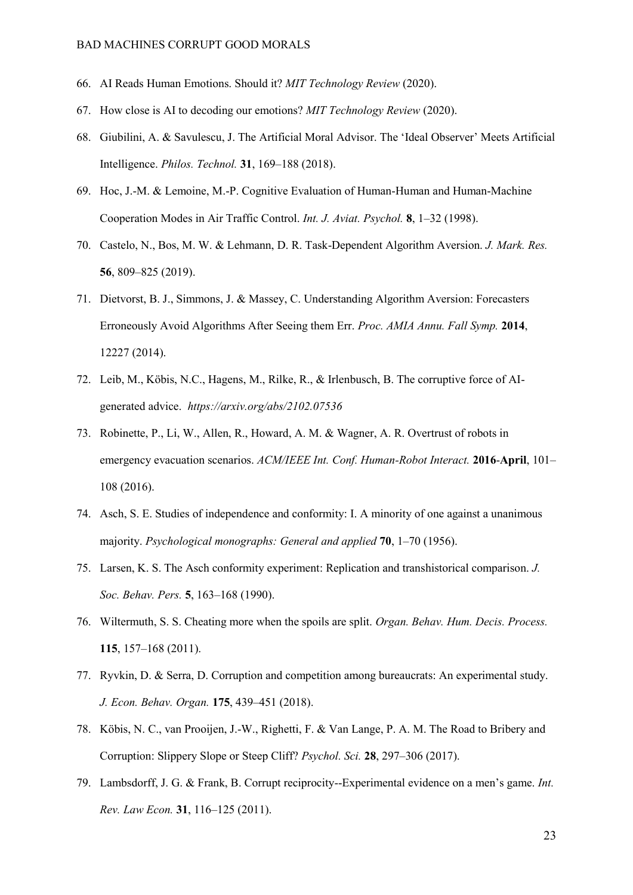- 66. [AI Reads Human Emotions. Should it?](http://paperpile.com/b/QSlb5j/c4olZ) *[MIT Technology Review](http://paperpile.com/b/QSlb5j/c4olZ)* [\(2020\).](http://paperpile.com/b/QSlb5j/c4olZ)
- 67. [How close is AI to decoding our emotions?](http://paperpile.com/b/QSlb5j/GxZc3) *[MIT Technology Review](http://paperpile.com/b/QSlb5j/GxZc3)* [\(2020\).](http://paperpile.com/b/QSlb5j/GxZc3)
- 68. [Giubilini, A. & Savulescu, J. The Artificial Moral Advisor. The 'Ideal Observer' Meets Artificial](http://paperpile.com/b/QSlb5j/y2sey)  [Intelligence.](http://paperpile.com/b/QSlb5j/y2sey) *[Philos. Technol.](http://paperpile.com/b/QSlb5j/y2sey)* **[31](http://paperpile.com/b/QSlb5j/y2sey)**, 169–[188 \(2018\).](http://paperpile.com/b/QSlb5j/y2sey)
- 69. [Hoc, J.-M. & Lemoine, M.-P. Cognitive Evaluation of Human-Human and Human-Machine](http://paperpile.com/b/QSlb5j/TKmf)  [Cooperation Modes in Air Traffic Control.](http://paperpile.com/b/QSlb5j/TKmf) *[Int. J. Aviat. Psychol.](http://paperpile.com/b/QSlb5j/TKmf)* **[8](http://paperpile.com/b/QSlb5j/TKmf)**, 1–[32 \(1998\).](http://paperpile.com/b/QSlb5j/TKmf)
- 70. [Castelo, N., Bos, M. W. & Lehmann, D. R. Task-Dependent Algorithm Aversion.](http://paperpile.com/b/QSlb5j/3WDzb) *[J. Mark. Res.](http://paperpile.com/b/QSlb5j/3WDzb)* **[56](http://paperpile.com/b/QSlb5j/3WDzb)**, 809–[825 \(2019\).](http://paperpile.com/b/QSlb5j/3WDzb)
- 71. [Dietvorst, B. J., Simmons, J. & Massey, C. Understanding Algorithm Aversion: Forecasters](http://paperpile.com/b/QSlb5j/Cpy0)  [Erroneously Avoid Algorithms After Seeing them Err.](http://paperpile.com/b/QSlb5j/Cpy0) *[Proc. AMIA Annu. Fall Symp.](http://paperpile.com/b/QSlb5j/Cpy0)* **[2014](http://paperpile.com/b/QSlb5j/Cpy0)**[,](http://paperpile.com/b/QSlb5j/Cpy0)  [12227 \(2014\).](http://paperpile.com/b/QSlb5j/Cpy0)
- 72. [Leib, M., Köbis, N.C., Hagens, M., Rilke, R., & Irlenbusch, B. The corruptive force of AI](http://paperpile.com/b/QSlb5j/l9T56)[generated advice.](http://paperpile.com/b/QSlb5j/l9T56) *https://arxiv.org/abs/2102.07536*
- 73. Robinette, P., Li, W., Allen, R., Howard, A. M. & Wagner, A. R. Overtrust of robots in emergency evacuation scenarios. *ACM/IEEE Int. Conf. Human-Robot Interact.* **2016**-**April**, 101– 108 (2016).
- 74. [Asch, S. E. Studies of independence and conformity: I. A minority of one against a unanimous](http://paperpile.com/b/QSlb5j/7kvpC)  [majority.](http://paperpile.com/b/QSlb5j/7kvpC) *[Psychological monographs: General and applied](http://paperpile.com/b/QSlb5j/7kvpC)* **[70](http://paperpile.com/b/QSlb5j/7kvpC)**, 1–[70 \(1956\).](http://paperpile.com/b/QSlb5j/7kvpC)
- 75. [Larsen, K. S. The Asch conformity experiment: Replication and transhistorical comparison.](http://paperpile.com/b/QSlb5j/qW0FK) *[J.](http://paperpile.com/b/QSlb5j/qW0FK)  [Soc. Behav. Pers.](http://paperpile.com/b/QSlb5j/qW0FK)* **[5](http://paperpile.com/b/QSlb5j/qW0FK)**, 163–[168 \(1990\).](http://paperpile.com/b/QSlb5j/qW0FK)
- 76. [Wiltermuth, S. S. Cheating more when the spoils are split.](http://paperpile.com/b/QSlb5j/rXmBm) *[Organ. Behav. Hum. Decis. Process.](http://paperpile.com/b/QSlb5j/rXmBm)* **[115](http://paperpile.com/b/QSlb5j/rXmBm)**, 157–[168 \(2011\).](http://paperpile.com/b/QSlb5j/rXmBm)
- 77. [Ryvkin, D. & Serra, D. Corruption and competition among bureaucrats: An experimental study.](http://paperpile.com/b/QSlb5j/udvRt)  *[J. Econ. Behav. Organ.](http://paperpile.com/b/QSlb5j/udvRt)* **[175](http://paperpile.com/b/QSlb5j/udvRt)**, 439–[451 \(2018\).](http://paperpile.com/b/QSlb5j/udvRt)
- 78. [Köbis, N. C., van Prooijen, J.-W., Righetti, F. & Van Lange, P. A. M. The Road to Bribery and](http://paperpile.com/b/QSlb5j/WnDgz)  [Corruption: Slippery Slope or Steep Cliff?](http://paperpile.com/b/QSlb5j/WnDgz) *[Psychol. Sci.](http://paperpile.com/b/QSlb5j/WnDgz)* **[28](http://paperpile.com/b/QSlb5j/WnDgz)**, 297–[306 \(2017\).](http://paperpile.com/b/QSlb5j/WnDgz)
- 79. [Lambsdorff, J. G. & Frank, B. Corrupt reciprocity--](http://paperpile.com/b/QSlb5j/mAZOF)Experimental evidence on a men's game. *[Int.](http://paperpile.com/b/QSlb5j/mAZOF)  [Rev. Law Econ.](http://paperpile.com/b/QSlb5j/mAZOF)* **[31](http://paperpile.com/b/QSlb5j/mAZOF)**, 116–[125 \(2011\).](http://paperpile.com/b/QSlb5j/mAZOF)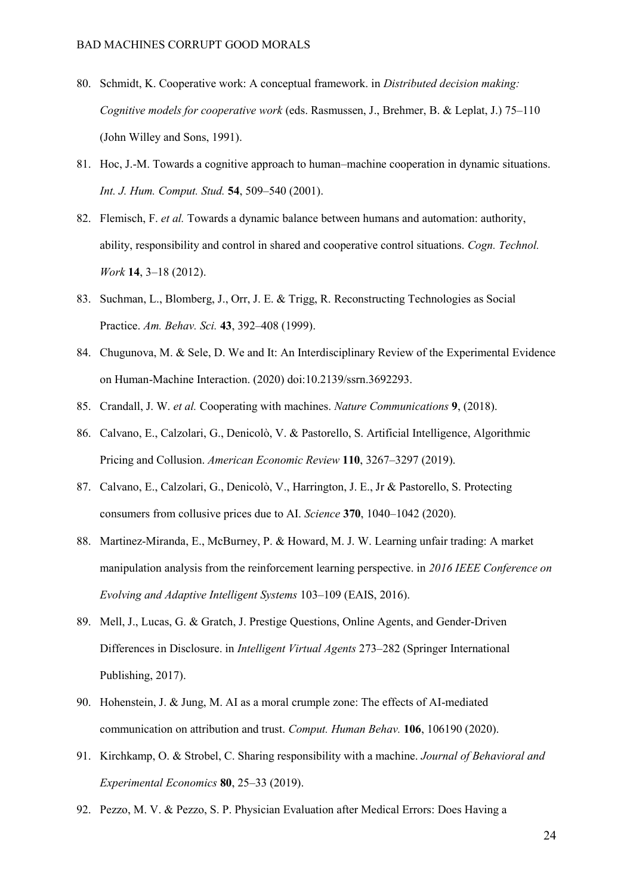- 80. [Schmidt, K. Cooperative work: A conceptual framework. in](http://paperpile.com/b/QSlb5j/YJqy) *[Distributed decision making:](http://paperpile.com/b/QSlb5j/YJqy)  [Cognitive models for cooperative work](http://paperpile.com/b/QSlb5j/YJqy)* [\(eds. Rasmussen, J., Brehmer, B. & Leplat, J.\) 75](http://paperpile.com/b/QSlb5j/YJqy)–110 [\(John Willey and Sons, 1991\).](http://paperpile.com/b/QSlb5j/YJqy)
- 81. [Hoc, J.-M. Towards a cognitive approach to human](http://paperpile.com/b/QSlb5j/QUqn)–machine cooperation in dynamic situations. *[Int. J. Hum. Comput. Stud.](http://paperpile.com/b/QSlb5j/QUqn)* **[54](http://paperpile.com/b/QSlb5j/QUqn)**, 509–[540 \(2001\).](http://paperpile.com/b/QSlb5j/QUqn)
- 82. [Flemisch, F.](http://paperpile.com/b/QSlb5j/VrSN) *[et al.](http://paperpile.com/b/QSlb5j/VrSN)* [Towards a dynamic balance between humans and automation: authority,](http://paperpile.com/b/QSlb5j/VrSN)  [ability, responsibility and control in shared and cooperative control situations.](http://paperpile.com/b/QSlb5j/VrSN) *[Cogn. Technol.](http://paperpile.com/b/QSlb5j/VrSN)  [Work](http://paperpile.com/b/QSlb5j/VrSN)* **[14](http://paperpile.com/b/QSlb5j/VrSN)**, 3–[18 \(2012\).](http://paperpile.com/b/QSlb5j/VrSN)
- 83. [Suchman, L., Blomberg, J., Orr, J. E. & Trigg, R. Reconstructing Technologies as Social](http://paperpile.com/b/QSlb5j/Zvj7)  [Practice.](http://paperpile.com/b/QSlb5j/Zvj7) *[Am. Behav. Sci.](http://paperpile.com/b/QSlb5j/Zvj7)* **[43](http://paperpile.com/b/QSlb5j/Zvj7)**, 392–[408 \(1999\).](http://paperpile.com/b/QSlb5j/Zvj7)
- 84. [Chugunova, M. & Sele, D. We and It: An Interdisciplinary Review of the Experimental Evidence](http://paperpile.com/b/QSlb5j/Mgffo)  [on Human-Machine Interaction. \(2020\) doi:](http://paperpile.com/b/QSlb5j/Mgffo)[10.2139/ssrn.3692293](http://dx.doi.org/10.2139/ssrn.3692293)[.](http://paperpile.com/b/QSlb5j/Mgffo)
- 85. [Crandall, J. W.](http://paperpile.com/b/QSlb5j/TP3ye) *[et al.](http://paperpile.com/b/QSlb5j/TP3ye)* [Cooperating with machines.](http://paperpile.com/b/QSlb5j/TP3ye) *[Nature Communications](http://paperpile.com/b/QSlb5j/TP3ye)* **[9](http://paperpile.com/b/QSlb5j/TP3ye)**[, \(2018\).](http://paperpile.com/b/QSlb5j/TP3ye)
- 86. [Calvano, E., Calzolari, G., Denicolò, V. & Pastorello, S. Artificial Intelligence, Algorithmic](http://paperpile.com/b/QSlb5j/2HIjS)  [Pricing and Collusion.](http://paperpile.com/b/QSlb5j/2HIjS) *[American Economic Review](http://paperpile.com/b/QSlb5j/2HIjS)* **[110](http://paperpile.com/b/QSlb5j/2HIjS)**, 3267–[3297 \(2019\).](http://paperpile.com/b/QSlb5j/2HIjS)
- 87. [Calvano, E., Calzolari, G., Denicolò, V., Harrington, J. E., Jr & Pastorello, S. Protecting](http://paperpile.com/b/QSlb5j/oNiTU)  [consumers from collusive prices due to AI.](http://paperpile.com/b/QSlb5j/oNiTU) *[Science](http://paperpile.com/b/QSlb5j/oNiTU)* **[370](http://paperpile.com/b/QSlb5j/oNiTU)**, 1040–[1042 \(2020\).](http://paperpile.com/b/QSlb5j/oNiTU)
- 88. [Martinez-Miranda, E., McBurney, P. & Howard, M. J. W. Learning unfair trading: A market](http://paperpile.com/b/QSlb5j/IA6I)  [manipulation analysis from the reinforcement learning perspective. in](http://paperpile.com/b/QSlb5j/IA6I) *[2016 IEEE Conference on](http://paperpile.com/b/QSlb5j/IA6I)  [Evolving and Adaptive Intelligent Systems](http://paperpile.com/b/QSlb5j/IA6I)* 103–[109 \(EAIS, 2016\).](http://paperpile.com/b/QSlb5j/IA6I)
- 89. [Mell, J., Lucas, G. & Gratch, J. Prestige Questions, Online Agents, and Gender-Driven](http://paperpile.com/b/QSlb5j/jM9tZ)  [Differences in Disclosure. in](http://paperpile.com/b/QSlb5j/jM9tZ) *[Intelligent Virtual Agents](http://paperpile.com/b/QSlb5j/jM9tZ)* 273–[282 \(Springer International](http://paperpile.com/b/QSlb5j/jM9tZ)  [Publishing, 2017\).](http://paperpile.com/b/QSlb5j/jM9tZ)
- 90. [Hohenstein, J. & Jung, M. AI as a moral crumple zone: The effects of AI-mediated](http://paperpile.com/b/QSlb5j/BkWdi)  [communication on attribution and trust.](http://paperpile.com/b/QSlb5j/BkWdi) *[Comput. Human Behav.](http://paperpile.com/b/QSlb5j/BkWdi)* **[106](http://paperpile.com/b/QSlb5j/BkWdi)**[, 106190 \(2020\).](http://paperpile.com/b/QSlb5j/BkWdi)
- 91. [Kirchkamp, O. & Strobel, C. Sharing responsibility with a machine.](http://paperpile.com/b/QSlb5j/Kqpa5) *[Journal of Behavioral and](http://paperpile.com/b/QSlb5j/Kqpa5)  [Experimental Economics](http://paperpile.com/b/QSlb5j/Kqpa5)* **[80](http://paperpile.com/b/QSlb5j/Kqpa5)**, 25–[33 \(2019\).](http://paperpile.com/b/QSlb5j/Kqpa5)
- 92. [Pezzo, M. V. & Pezzo, S. P. Physician Evaluation after Medical Errors: Does Having a](http://paperpile.com/b/QSlb5j/fVhs5)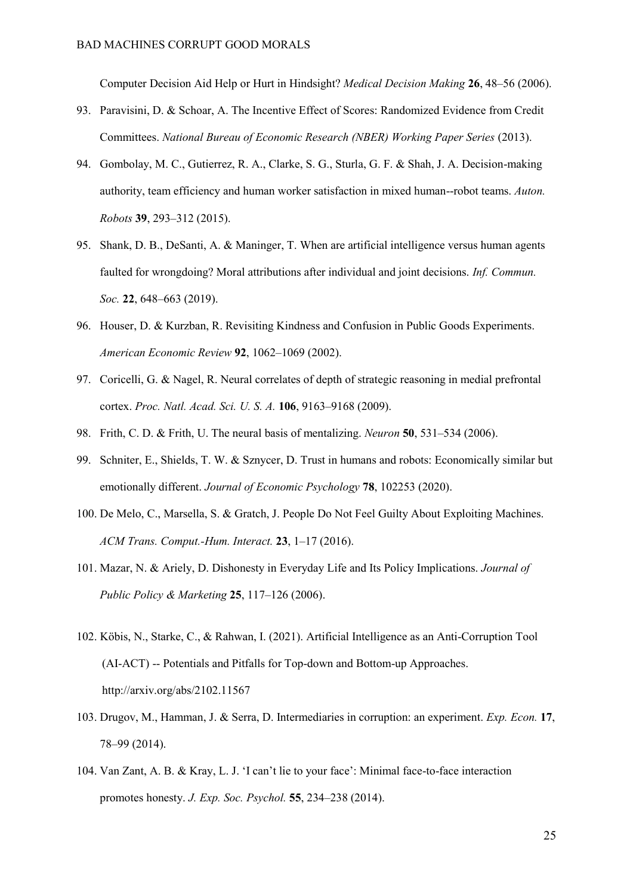[Computer Decision Aid Help or Hurt in Hindsight?](http://paperpile.com/b/QSlb5j/fVhs5) *[Medical Decision Making](http://paperpile.com/b/QSlb5j/fVhs5)* **[26](http://paperpile.com/b/QSlb5j/fVhs5)**, 48–[56 \(2006\).](http://paperpile.com/b/QSlb5j/fVhs5)

- 93. [Paravisini, D. & Schoar, A. The Incentive Effect of Scores: Randomized Evidence from Credit](http://paperpile.com/b/QSlb5j/Tek6s)  [Committees.](http://paperpile.com/b/QSlb5j/Tek6s) *[National Bureau of Economic Research \(NBER\) Working Paper Series](http://paperpile.com/b/QSlb5j/Tek6s)* [\(2013\).](http://paperpile.com/b/QSlb5j/Tek6s)
- 94. [Gombolay, M. C., Gutierrez, R. A., Clarke, S. G., Sturla, G. F. & Shah, J. A. Decision-making](http://paperpile.com/b/QSlb5j/QpIme)  [authority, team efficiency and human worker satisfaction in mixed human--robot teams.](http://paperpile.com/b/QSlb5j/QpIme) *[Auton.](http://paperpile.com/b/QSlb5j/QpIme)  [Robots](http://paperpile.com/b/QSlb5j/QpIme)* **[39](http://paperpile.com/b/QSlb5j/QpIme)**, 293–[312 \(2015\).](http://paperpile.com/b/QSlb5j/QpIme)
- 95. [Shank, D. B., DeSanti, A. & Maninger, T. When are artificial intelligence versus human agents](http://paperpile.com/b/QSlb5j/ttI3)  [faulted for wrongdoing? Moral attributions after individual and joint decisions.](http://paperpile.com/b/QSlb5j/ttI3) *[Inf. Commun.](http://paperpile.com/b/QSlb5j/ttI3)  [Soc.](http://paperpile.com/b/QSlb5j/ttI3)* **[22](http://paperpile.com/b/QSlb5j/ttI3)**, 648–[663 \(2019\).](http://paperpile.com/b/QSlb5j/ttI3)
- 96. [Houser, D. & Kurzban, R. Revisiting Kindness and Confusion in Public Goods Experiments.](http://paperpile.com/b/QSlb5j/ZyLJW)  *[American Economic Review](http://paperpile.com/b/QSlb5j/ZyLJW)* **[92](http://paperpile.com/b/QSlb5j/ZyLJW)**, 1062–[1069 \(2002\).](http://paperpile.com/b/QSlb5j/ZyLJW)
- 97. [Coricelli, G. & Nagel, R. Neural correlates of depth of strategic reasoning in medial prefrontal](http://paperpile.com/b/QSlb5j/fxLRL)  [cortex.](http://paperpile.com/b/QSlb5j/fxLRL) *[Proc. Natl. Acad. Sci. U. S. A.](http://paperpile.com/b/QSlb5j/fxLRL)* **[106](http://paperpile.com/b/QSlb5j/fxLRL)**, 9163–[9168 \(2009\).](http://paperpile.com/b/QSlb5j/fxLRL)
- 98. [Frith, C. D. & Frith, U. The neural basis of mentalizing.](http://paperpile.com/b/QSlb5j/vROBK) *[Neuron](http://paperpile.com/b/QSlb5j/vROBK)* **[50](http://paperpile.com/b/QSlb5j/vROBK)**, 531–[534 \(2006\).](http://paperpile.com/b/QSlb5j/vROBK)
- 99. [Schniter, E., Shields, T. W. & Sznycer, D. Trust in humans and robots: Economically similar but](http://paperpile.com/b/QSlb5j/yrpty)  [emotionally different.](http://paperpile.com/b/QSlb5j/yrpty) *[Journal of Economic Psychology](http://paperpile.com/b/QSlb5j/yrpty)* **[78](http://paperpile.com/b/QSlb5j/yrpty)**[, 102253 \(2020\).](http://paperpile.com/b/QSlb5j/yrpty)
- 100. [De Melo, C., Marsella, S. & Gratch, J. People Do Not Feel Guilty About Exploiting Machines.](http://paperpile.com/b/QSlb5j/Cfo9M)  *[ACM Trans. Comput.-Hum. Interact.](http://paperpile.com/b/QSlb5j/Cfo9M)* **[23](http://paperpile.com/b/QSlb5j/Cfo9M)**, 1–[17 \(2016\).](http://paperpile.com/b/QSlb5j/Cfo9M)
- 101. [Mazar, N. & Ariely, D. Dishonesty in Everyday Life and Its Policy Implications.](http://paperpile.com/b/QSlb5j/vhahl) *[Journal of](http://paperpile.com/b/QSlb5j/vhahl)  Public [Policy & Marketing](http://paperpile.com/b/QSlb5j/vhahl)* **[25](http://paperpile.com/b/QSlb5j/vhahl)**, 117–[126 \(2006\).](http://paperpile.com/b/QSlb5j/vhahl)
- 102. Köbis, N., Starke, C., & Rahwan, I. (2021). Artificial Intelligence as an Anti-Corruption Tool (AI-ACT) -- Potentials and Pitfalls for Top-down and Bottom-up Approaches. http://arxiv.org/abs/2102.11567
- 103. [Drugov, M., Hamman, J. & Serra, D. Intermediaries in corruption: an experiment.](http://paperpile.com/b/QSlb5j/SpnW2) *[Exp. Econ.](http://paperpile.com/b/QSlb5j/SpnW2)* **[17](http://paperpile.com/b/QSlb5j/SpnW2)**[,](http://paperpile.com/b/QSlb5j/SpnW2)  78–[99 \(2014\).](http://paperpile.com/b/QSlb5j/SpnW2)
- 104. [Van Zant, A. B. & Kray, L. J. 'I can't lie to your face': Minimal face](http://paperpile.com/b/QSlb5j/3V1ak)-to-face interaction [promotes honesty.](http://paperpile.com/b/QSlb5j/3V1ak) *[J. Exp. Soc. Psychol.](http://paperpile.com/b/QSlb5j/3V1ak)* **[55](http://paperpile.com/b/QSlb5j/3V1ak)**, 234–[238 \(2014\).](http://paperpile.com/b/QSlb5j/3V1ak)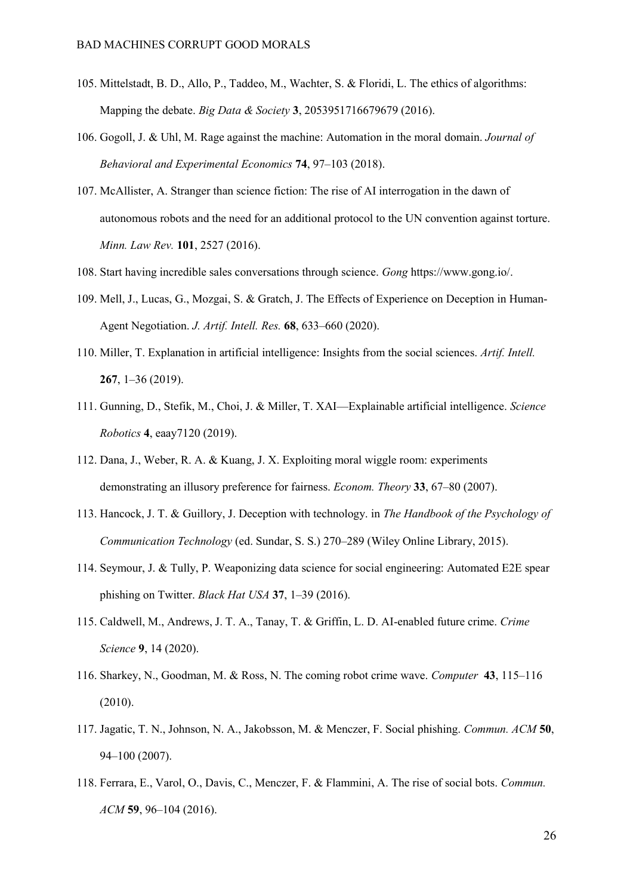- 105. [Mittelstadt, B. D., Allo, P., Taddeo, M., Wachter, S. & Floridi, L. The ethics of algorithms:](http://paperpile.com/b/QSlb5j/HCJzX)  [Mapping the debate.](http://paperpile.com/b/QSlb5j/HCJzX) *[Big Data & Society](http://paperpile.com/b/QSlb5j/HCJzX)* **[3](http://paperpile.com/b/QSlb5j/HCJzX)**[, 2053951716679679 \(2016\).](http://paperpile.com/b/QSlb5j/HCJzX)
- 106. [Gogoll, J. & Uhl, M. Rage against the machine: Automation in the moral domain.](http://paperpile.com/b/QSlb5j/FoDMp) *[Journal of](http://paperpile.com/b/QSlb5j/FoDMp)  [Behavioral and Experimental Economics](http://paperpile.com/b/QSlb5j/FoDMp)* **[74](http://paperpile.com/b/QSlb5j/FoDMp)**, 97–[103 \(2018\).](http://paperpile.com/b/QSlb5j/FoDMp)
- 107. [McAllister, A. Stranger than science fiction: The rise of AI interrogation in the dawn of](http://paperpile.com/b/QSlb5j/hZUV)  [autonomous robots and the need for an additional protocol to the UN](http://paperpile.com/b/QSlb5j/hZUV) convention against torture. *[Minn. Law Rev.](http://paperpile.com/b/QSlb5j/hZUV)* **[101](http://paperpile.com/b/QSlb5j/hZUV)**[, 2527 \(2016\).](http://paperpile.com/b/QSlb5j/hZUV)
- 108. [Start having incredible sales conversations through science.](http://paperpile.com/b/QSlb5j/Fd1w) *[Gong](http://paperpile.com/b/QSlb5j/Fd1w)* <https://www.gong.io/>[.](http://paperpile.com/b/QSlb5j/Fd1w)
- 109. [Mell, J., Lucas, G., Mozgai, S. & Gratch, J. The Effects of Experience on Deception in Human-](http://paperpile.com/b/QSlb5j/Z2slG)[Agent Negotiation.](http://paperpile.com/b/QSlb5j/Z2slG) *[J. Artif. Intell. Res.](http://paperpile.com/b/QSlb5j/Z2slG)* **[68](http://paperpile.com/b/QSlb5j/Z2slG)**, 633–[660 \(2020\).](http://paperpile.com/b/QSlb5j/Z2slG)
- 110. [Miller, T. Explanation in artificial intelligence: Insights from the social sciences.](http://paperpile.com/b/QSlb5j/pR4Gx) *[Artif. Intell.](http://paperpile.com/b/QSlb5j/pR4Gx)* **[267](http://paperpile.com/b/QSlb5j/pR4Gx)**, 1–[36 \(2019\).](http://paperpile.com/b/QSlb5j/pR4Gx)
- 111. [Gunning, D., Stefik, M., Choi, J. & Miller, T. XAI](http://paperpile.com/b/QSlb5j/7qx04)—Explainable artificial intelligence. *[Science](http://paperpile.com/b/QSlb5j/7qx04)  [Robotics](http://paperpile.com/b/QSlb5j/7qx04)* **[4](http://paperpile.com/b/QSlb5j/7qx04)**[, eaay7120 \(2019\).](http://paperpile.com/b/QSlb5j/7qx04)
- 112. [Dana, J., Weber, R. A. & Kuang, J. X. Exploiting moral wiggle room: experiments](http://paperpile.com/b/QSlb5j/pmBt9)  [demonstrating an illusory preference for fairness.](http://paperpile.com/b/QSlb5j/pmBt9) *[Econom. Theory](http://paperpile.com/b/QSlb5j/pmBt9)* **[33](http://paperpile.com/b/QSlb5j/pmBt9)**, 67–[80 \(2007\).](http://paperpile.com/b/QSlb5j/pmBt9)
- 113. [Hancock, J. T. & Guillory, J. Deception with technology. in](http://paperpile.com/b/QSlb5j/xHUG) *[The Handbook of the Psychology of](http://paperpile.com/b/QSlb5j/xHUG)  [Communication Technology](http://paperpile.com/b/QSlb5j/xHUG)* (ed. Sundar, S. S.) 270–[289 \(Wiley Online Library, 2015\).](http://paperpile.com/b/QSlb5j/xHUG)
- 114. [Seymour, J. & Tully, P. Weaponizing data science for social engineering: Automated E2E spear](http://paperpile.com/b/QSlb5j/961T)  [phishing on Twitter.](http://paperpile.com/b/QSlb5j/961T) *[Black Hat USA](http://paperpile.com/b/QSlb5j/961T)* **[37](http://paperpile.com/b/QSlb5j/961T)**, 1–[39 \(2016\).](http://paperpile.com/b/QSlb5j/961T)
- 115. [Caldwell, M., Andrews, J. T. A., Tanay, T. & Griffin, L. D. AI-enabled future crime.](http://paperpile.com/b/QSlb5j/zP0oE) *[Crime](http://paperpile.com/b/QSlb5j/zP0oE)  [Science](http://paperpile.com/b/QSlb5j/zP0oE)* **[9](http://paperpile.com/b/QSlb5j/zP0oE)**[, 14 \(2020\).](http://paperpile.com/b/QSlb5j/zP0oE)
- 116. [Sharkey, N., Goodman, M. & Ross, N. The coming robot crime wave.](http://paperpile.com/b/QSlb5j/evP9) *[Computer](http://paperpile.com/b/QSlb5j/evP9)* **[43](http://paperpile.com/b/QSlb5j/evP9)**[, 115](http://paperpile.com/b/QSlb5j/evP9)–116 [\(2010\).](http://paperpile.com/b/QSlb5j/evP9)
- 117. [Jagatic, T. N., Johnson, N. A., Jakobsson, M. & Menczer, F. Social phishing.](http://paperpile.com/b/QSlb5j/cki9) *[Commun. ACM](http://paperpile.com/b/QSlb5j/cki9)* **[50](http://paperpile.com/b/QSlb5j/cki9)**[,](http://paperpile.com/b/QSlb5j/cki9)  94–[100 \(2007\).](http://paperpile.com/b/QSlb5j/cki9)
- 118. [Ferrara, E., Varol, O., Davis, C., Menczer, F. & Flammini, A. The rise of social bots.](http://paperpile.com/b/QSlb5j/bcaM) *[Commun.](http://paperpile.com/b/QSlb5j/bcaM)  [ACM](http://paperpile.com/b/QSlb5j/bcaM)* **[59](http://paperpile.com/b/QSlb5j/bcaM)**, 96–[104 \(2016\).](http://paperpile.com/b/QSlb5j/bcaM)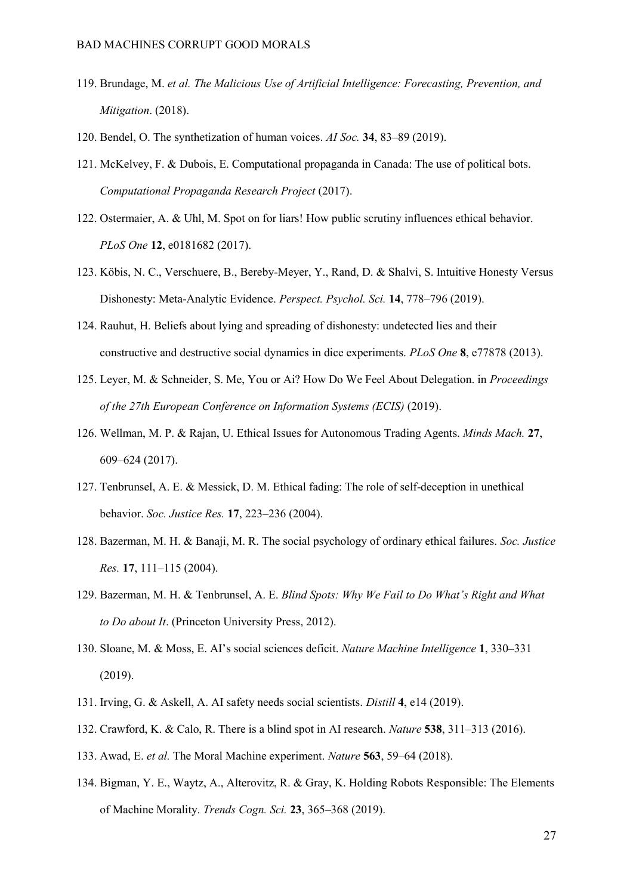- 119. [Brundage, M.](http://paperpile.com/b/QSlb5j/8pxSZ) *[et al.](http://paperpile.com/b/QSlb5j/8pxSZ) [The Malicious Use of Artificial Intelligence: Forecasting, Prevention, and](http://paperpile.com/b/QSlb5j/8pxSZ)  [Mitigation](http://paperpile.com/b/QSlb5j/8pxSZ)*[. \(2018\).](http://paperpile.com/b/QSlb5j/8pxSZ)
- 120. [Bendel, O. The synthetization of human voices.](http://paperpile.com/b/QSlb5j/RlLp) *[AI Soc.](http://paperpile.com/b/QSlb5j/RlLp)* **[34](http://paperpile.com/b/QSlb5j/RlLp)**, 83–[89 \(2019\).](http://paperpile.com/b/QSlb5j/RlLp)
- 121. [McKelvey, F. & Dubois, E. Computational propaganda in Canada: The use of political bots.](http://paperpile.com/b/QSlb5j/ucW0)  *[Computational Propaganda Research Project](http://paperpile.com/b/QSlb5j/ucW0)* [\(2017\).](http://paperpile.com/b/QSlb5j/ucW0)
- 122. [Ostermaier, A. & Uhl, M. Spot on for liars! How public scrutiny influences ethical behavior.](http://paperpile.com/b/QSlb5j/UAA1x) *[PLoS One](http://paperpile.com/b/QSlb5j/UAA1x)* **[12](http://paperpile.com/b/QSlb5j/UAA1x)**[, e0181682 \(2017\).](http://paperpile.com/b/QSlb5j/UAA1x)
- 123. [Köbis, N. C., Verschuere, B., Bereby-Meyer, Y., Rand, D. & Shalvi, S. Intuitive Honesty Versus](http://paperpile.com/b/QSlb5j/jz3tu)  [Dishonesty: Meta-Analytic Evidence.](http://paperpile.com/b/QSlb5j/jz3tu) *[Perspect. Psychol. Sci.](http://paperpile.com/b/QSlb5j/jz3tu)* **[14](http://paperpile.com/b/QSlb5j/jz3tu)**, 778–[796 \(2019\).](http://paperpile.com/b/QSlb5j/jz3tu)
- 124. [Rauhut, H. Beliefs about lying and spreading of dishonesty: undetected lies and their](http://paperpile.com/b/QSlb5j/eFbMO)  [constructive and destructive social dynamics in dice experiments.](http://paperpile.com/b/QSlb5j/eFbMO) *[PLoS One](http://paperpile.com/b/QSlb5j/eFbMO)* **[8](http://paperpile.com/b/QSlb5j/eFbMO)**[, e77878 \(2013\).](http://paperpile.com/b/QSlb5j/eFbMO)
- 125. [Leyer, M. & Schneider, S. Me, You or Ai? How Do We Feel About Delegation. in](http://paperpile.com/b/QSlb5j/OgOuE) *[Proceedings](http://paperpile.com/b/QSlb5j/OgOuE)  [of the 27th European Conference on Information Systems \(ECIS\)](http://paperpile.com/b/QSlb5j/OgOuE)* [\(2019\).](http://paperpile.com/b/QSlb5j/OgOuE)
- 126. [Wellman, M. P. & Rajan, U. Ethical Issues for Autonomous Trading Agents.](http://paperpile.com/b/QSlb5j/gOgX) *[Minds Mach.](http://paperpile.com/b/QSlb5j/gOgX)* **[27](http://paperpile.com/b/QSlb5j/gOgX)**[,](http://paperpile.com/b/QSlb5j/gOgX)  609–[624 \(2017\).](http://paperpile.com/b/QSlb5j/gOgX)
- 127. [Tenbrunsel, A. E. & Messick, D. M. Ethical fading: The role of self-deception in unethical](http://paperpile.com/b/QSlb5j/XtYu)  [behavior.](http://paperpile.com/b/QSlb5j/XtYu) *[Soc. Justice Res.](http://paperpile.com/b/QSlb5j/XtYu)* **[17](http://paperpile.com/b/QSlb5j/XtYu)**, 223–[236 \(2004\).](http://paperpile.com/b/QSlb5j/XtYu)
- 128. [Bazerman, M. H. & Banaji, M. R. The social psychology of ordinary ethical failures.](http://paperpile.com/b/QSlb5j/3CWZ) *[Soc. Justice](http://paperpile.com/b/QSlb5j/3CWZ)  [Res.](http://paperpile.com/b/QSlb5j/3CWZ)* **[17](http://paperpile.com/b/QSlb5j/3CWZ)**, 111–[115 \(2004\).](http://paperpile.com/b/QSlb5j/3CWZ)
- 129. [Bazerman, M. H. & Tenbrunsel, A. E.](http://paperpile.com/b/QSlb5j/8e5f) *[Blind Spots: Why We Fail to Do What's Right and What](http://paperpile.com/b/QSlb5j/8e5f)  [to Do about It](http://paperpile.com/b/QSlb5j/8e5f)*[. \(Princeton University Press, 2012\).](http://paperpile.com/b/QSlb5j/8e5f)
- 130. [Sloane, M. & Moss, E. AI's social sciences deficit.](http://paperpile.com/b/QSlb5j/2T7sQ) *[Nature Machine Intelligence](http://paperpile.com/b/QSlb5j/2T7sQ)* **[1](http://paperpile.com/b/QSlb5j/2T7sQ)**[, 330](http://paperpile.com/b/QSlb5j/2T7sQ)–331 [\(2019\).](http://paperpile.com/b/QSlb5j/2T7sQ)
- 131. [Irving, G. & Askell, A. AI safety needs social scientists.](http://paperpile.com/b/QSlb5j/WbhQH) *[Distill](http://paperpile.com/b/QSlb5j/WbhQH)* **[4](http://paperpile.com/b/QSlb5j/WbhQH)**[, e14 \(2019\).](http://paperpile.com/b/QSlb5j/WbhQH)
- 132. [Crawford, K. & Calo, R. There is a blind spot in AI research.](http://paperpile.com/b/QSlb5j/ByEAE) *[Nature](http://paperpile.com/b/QSlb5j/ByEAE)* **[538](http://paperpile.com/b/QSlb5j/ByEAE)**, 311–[313 \(2016\).](http://paperpile.com/b/QSlb5j/ByEAE)
- 133. [Awad, E.](http://paperpile.com/b/QSlb5j/PJBYl) *[et al.](http://paperpile.com/b/QSlb5j/PJBYl)* [The Moral Machine experiment.](http://paperpile.com/b/QSlb5j/PJBYl) *[Nature](http://paperpile.com/b/QSlb5j/PJBYl)* **[563](http://paperpile.com/b/QSlb5j/PJBYl)**, 59–[64 \(2018\).](http://paperpile.com/b/QSlb5j/PJBYl)
- 134. [Bigman, Y. E., Waytz, A., Alterovitz, R. & Gray, K. Holding Robots Responsible: The Elements](http://paperpile.com/b/QSlb5j/8pbfU)  [of Machine Morality.](http://paperpile.com/b/QSlb5j/8pbfU) *[Trends Cogn. Sci.](http://paperpile.com/b/QSlb5j/8pbfU)* **[23](http://paperpile.com/b/QSlb5j/8pbfU)**, 365–[368 \(2019\).](http://paperpile.com/b/QSlb5j/8pbfU)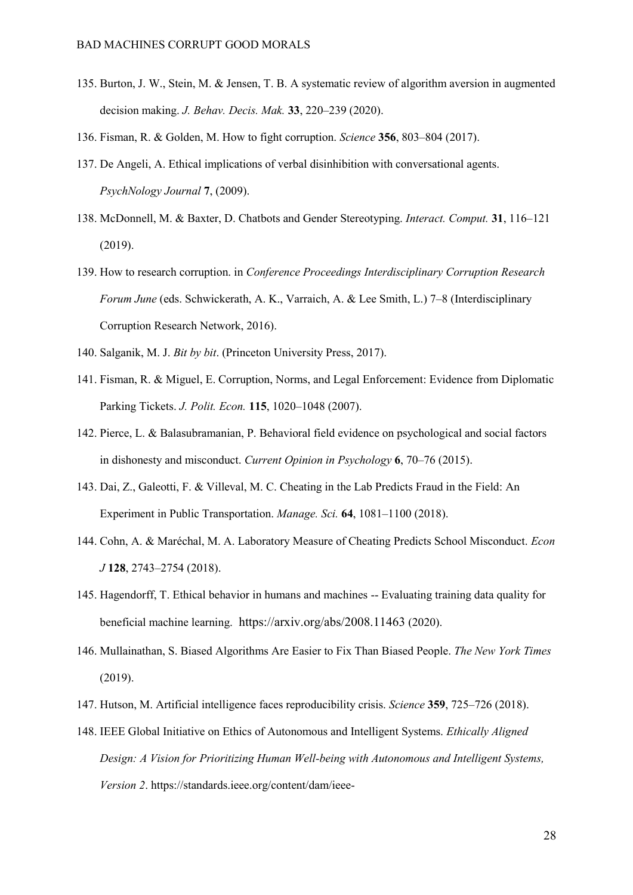- 135. [Burton, J. W., Stein, M. & Jensen, T. B. A systematic review of algorithm aversion in augmented](http://paperpile.com/b/QSlb5j/Y7yhz)  [decision making.](http://paperpile.com/b/QSlb5j/Y7yhz) *[J. Behav. Decis. Mak.](http://paperpile.com/b/QSlb5j/Y7yhz)* **[33](http://paperpile.com/b/QSlb5j/Y7yhz)**, 220–[239 \(2020\).](http://paperpile.com/b/QSlb5j/Y7yhz)
- 136. [Fisman, R. & Golden, M. How to fight corruption.](http://paperpile.com/b/QSlb5j/hrSrr) *[Science](http://paperpile.com/b/QSlb5j/hrSrr)* **[356](http://paperpile.com/b/QSlb5j/hrSrr)**, 803–[804 \(2017\).](http://paperpile.com/b/QSlb5j/hrSrr)
- 137. [De Angeli, A. Ethical implications of verbal disinhibition with conversational agents.](http://paperpile.com/b/QSlb5j/7t3e)  *[PsychNology Journal](http://paperpile.com/b/QSlb5j/7t3e)* **[7](http://paperpile.com/b/QSlb5j/7t3e)**[, \(2009\).](http://paperpile.com/b/QSlb5j/7t3e)
- 138. [McDonnell, M. & Baxter, D. Chatbots and Gender Stereotyping.](http://paperpile.com/b/QSlb5j/TqBj) *[Interact. Comput.](http://paperpile.com/b/QSlb5j/TqBj)* **[31](http://paperpile.com/b/QSlb5j/TqBj)**[, 116](http://paperpile.com/b/QSlb5j/TqBj)–121 [\(2019\).](http://paperpile.com/b/QSlb5j/TqBj)
- 139. [How to research corruption. in](http://paperpile.com/b/QSlb5j/9MkJ) *[Conference Proceedings Interdisciplinary Corruption Research](http://paperpile.com/b/QSlb5j/9MkJ)  [Forum June](http://paperpile.com/b/QSlb5j/9MkJ)* [\(eds. Schwickerath, A. K., Varraich, A. & Lee Smith, L.\) 7](http://paperpile.com/b/QSlb5j/9MkJ)–8 (Interdisciplinary [Corruption Research Network, 2016\).](http://paperpile.com/b/QSlb5j/9MkJ)
- 140. [Salganik, M. J.](http://paperpile.com/b/QSlb5j/lz3R) *[Bit by bit](http://paperpile.com/b/QSlb5j/lz3R)*[. \(Princeton University Press, 2017\).](http://paperpile.com/b/QSlb5j/lz3R)
- 141. [Fisman, R. & Miguel, E. Corruption, Norms, and Legal Enforcement: Evidence from Diplomatic](http://paperpile.com/b/QSlb5j/og1M)  [Parking Tickets.](http://paperpile.com/b/QSlb5j/og1M) *[J. Polit. Econ.](http://paperpile.com/b/QSlb5j/og1M)* **[115](http://paperpile.com/b/QSlb5j/og1M)**, 1020–[1048 \(2007\).](http://paperpile.com/b/QSlb5j/og1M)
- 142. [Pierce, L. & Balasubramanian, P. Behavioral field evidence on psychological and social factors](http://paperpile.com/b/QSlb5j/iSnq)  [in dishonesty and misconduct.](http://paperpile.com/b/QSlb5j/iSnq) *[Current Opinion in Psychology](http://paperpile.com/b/QSlb5j/iSnq)* **[6](http://paperpile.com/b/QSlb5j/iSnq)**, 70–[76 \(2015\).](http://paperpile.com/b/QSlb5j/iSnq)
- 143. [Dai, Z., Galeotti, F. & Villeval, M. C. Cheating in the Lab Predicts Fraud in the Field: An](http://paperpile.com/b/QSlb5j/AERk)  [Experiment in Public Transportation.](http://paperpile.com/b/QSlb5j/AERk) *[Manage.](http://paperpile.com/b/QSlb5j/AERk) Sci[.](http://paperpile.com/b/QSlb5j/AERk)* **[64](http://paperpile.com/b/QSlb5j/AERk)**, 1081–[1100 \(2018\).](http://paperpile.com/b/QSlb5j/AERk)
- 144. [Cohn, A. & Maréchal, M. A. Laboratory Measure of Cheating Predicts School Misconduct.](http://paperpile.com/b/QSlb5j/vG7k) *[Econ](http://paperpile.com/b/QSlb5j/vG7k)  [J](http://paperpile.com/b/QSlb5j/vG7k)* **[128](http://paperpile.com/b/QSlb5j/vG7k)**, 2743–[2754 \(2018\).](http://paperpile.com/b/QSlb5j/vG7k)
- 145. [Hagendorff, T. Ethical behavior in humans and machines --](http://paperpile.com/b/QSlb5j/euVB) Evaluating training data quality for [beneficial machine learning.](http://paperpile.com/b/QSlb5j/euVB) https://arxiv.org/abs/2008.11463 [\(2020\).](http://paperpile.com/b/QSlb5j/euVB)
- 146. [Mullainathan, S. Biased Algorithms Are Easier to Fix Than Biased People.](http://paperpile.com/b/QSlb5j/mtHhu) *[The New York Times](http://paperpile.com/b/QSlb5j/mtHhu)* [\(2019\).](http://paperpile.com/b/QSlb5j/mtHhu)
- 147. [Hutson, M. Artificial intelligence faces reproducibility crisis.](http://paperpile.com/b/QSlb5j/7no5Z) *[Science](http://paperpile.com/b/QSlb5j/7no5Z)* **[359](http://paperpile.com/b/QSlb5j/7no5Z)**, 725–[726 \(2018\).](http://paperpile.com/b/QSlb5j/7no5Z)
- 148. [IEEE Global Initiative on Ethics of Autonomous and Intelligent Systems.](http://paperpile.com/b/QSlb5j/FJ56E) *[Ethically Aligned](http://paperpile.com/b/QSlb5j/FJ56E)  [Design: A Vision for Prioritizing Human Well-being with Autonomous and Intelligent Systems,](http://paperpile.com/b/QSlb5j/FJ56E)  [Version 2](http://paperpile.com/b/QSlb5j/FJ56E)*[.](http://paperpile.com/b/QSlb5j/FJ56E) [https://standards.ieee.org/content/dam/ieee-](https://standards.ieee.org/content/dam/ieee-standards/standards/web/documents/other/ead_v2.pdf)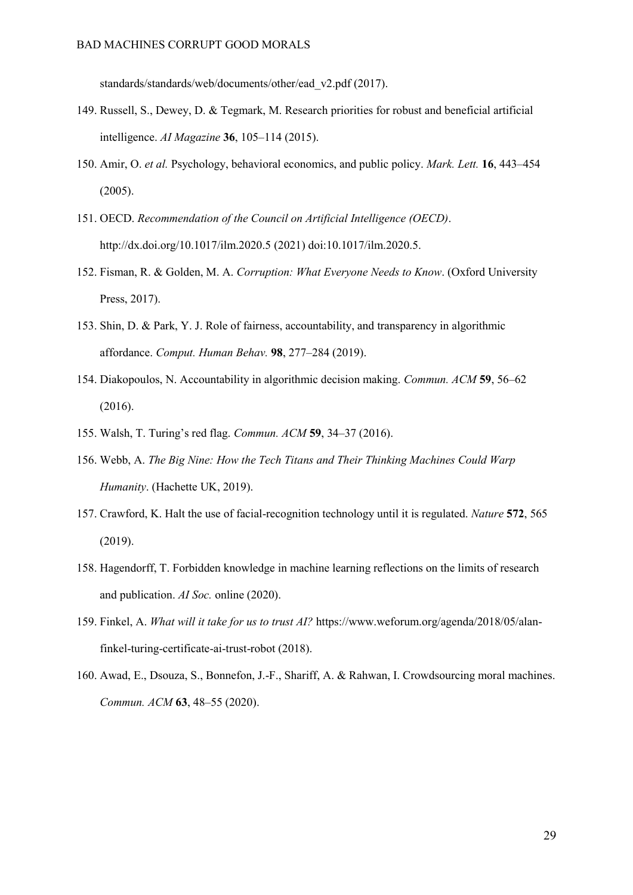[standards/standards/web/documents/other/ead\\_v2.pdf](https://standards.ieee.org/content/dam/ieee-standards/standards/web/documents/other/ead_v2.pdf) [\(2017\).](http://paperpile.com/b/QSlb5j/FJ56E)

- 149. [Russell, S., Dewey, D. & Tegmark, M. Research priorities for robust and beneficial artificial](http://paperpile.com/b/QSlb5j/hxiKx)  [intelligence.](http://paperpile.com/b/QSlb5j/hxiKx) *[AI Magazine](http://paperpile.com/b/QSlb5j/hxiKx)* **[36](http://paperpile.com/b/QSlb5j/hxiKx)**, 105–[114 \(2015\).](http://paperpile.com/b/QSlb5j/hxiKx)
- 150. [Amir, O.](http://paperpile.com/b/QSlb5j/aJ1QL) *[et al.](http://paperpile.com/b/QSlb5j/aJ1QL)* [Psychology, behavioral economics, and public policy.](http://paperpile.com/b/QSlb5j/aJ1QL) *[Mark. Lett.](http://paperpile.com/b/QSlb5j/aJ1QL)* **[16](http://paperpile.com/b/QSlb5j/aJ1QL)**[, 443](http://paperpile.com/b/QSlb5j/aJ1QL)–454 [\(2005\).](http://paperpile.com/b/QSlb5j/aJ1QL)
- 151. [OECD.](http://paperpile.com/b/QSlb5j/kxPS) *[Recommendation of the Council on Artificial Intelligence \(OECD\)](http://paperpile.com/b/QSlb5j/kxPS)*[.](http://paperpile.com/b/QSlb5j/kxPS)  <http://dx.doi.org/10.1017/ilm.2020.5> [\(2021\) doi:](http://paperpile.com/b/QSlb5j/kxPS)[10.1017/ilm.2020.5](http://dx.doi.org/10.1017/ilm.2020.5)[.](http://paperpile.com/b/QSlb5j/kxPS)
- 152. [Fisman, R. & Golden, M. A.](http://paperpile.com/b/QSlb5j/NiZcl) *[Corruption: What Everyone Needs to Know](http://paperpile.com/b/QSlb5j/NiZcl)*[. \(Oxford University](http://paperpile.com/b/QSlb5j/NiZcl)  [Press, 2017\).](http://paperpile.com/b/QSlb5j/NiZcl)
- 153. [Shin, D. & Park, Y. J. Role of fairness, accountability, and transparency in algorithmic](http://paperpile.com/b/QSlb5j/T8yBK)  [affordance.](http://paperpile.com/b/QSlb5j/T8yBK) *[Comput. Human Behav.](http://paperpile.com/b/QSlb5j/T8yBK)* **[98](http://paperpile.com/b/QSlb5j/T8yBK)**, 277–[284 \(2019\).](http://paperpile.com/b/QSlb5j/T8yBK)
- 154. [Diakopoulos, N. Accountability in algorithmic decision making.](http://paperpile.com/b/QSlb5j/1GaY) *[Commun. ACM](http://paperpile.com/b/QSlb5j/1GaY)* **[59](http://paperpile.com/b/QSlb5j/1GaY)**[, 56](http://paperpile.com/b/QSlb5j/1GaY)–62 [\(2016\).](http://paperpile.com/b/QSlb5j/1GaY)
- 155. [Walsh, T. Turing's red flag.](http://paperpile.com/b/QSlb5j/Nixut) *[Commun. ACM](http://paperpile.com/b/QSlb5j/Nixut)* **[59](http://paperpile.com/b/QSlb5j/Nixut)**, 34–[37 \(2016\).](http://paperpile.com/b/QSlb5j/Nixut)
- 156. [Webb, A.](http://paperpile.com/b/QSlb5j/lIVfP) *[The Big Nine: How the Tech Titans and Their Thinking Machines Could Warp](http://paperpile.com/b/QSlb5j/lIVfP)  [Humanity](http://paperpile.com/b/QSlb5j/lIVfP)*[. \(Hachette UK, 2019\).](http://paperpile.com/b/QSlb5j/lIVfP)
- 157. [Crawford, K. Halt the use of facial-recognition technology until it is regulated.](http://paperpile.com/b/QSlb5j/t3L1l) *[Nature](http://paperpile.com/b/QSlb5j/t3L1l)* **[572](http://paperpile.com/b/QSlb5j/t3L1l)**[, 565](http://paperpile.com/b/QSlb5j/t3L1l)  [\(2019\).](http://paperpile.com/b/QSlb5j/t3L1l)
- 158. [Hagendorff, T. Forbidden knowledge in machine learning reflections on the limits of research](http://paperpile.com/b/QSlb5j/eAuH)  [and publication.](http://paperpile.com/b/QSlb5j/eAuH) *[AI Soc.](http://paperpile.com/b/QSlb5j/eAuH)* [online \(2020\).](http://paperpile.com/b/QSlb5j/eAuH)
- 159. [Finkel, A.](http://paperpile.com/b/QSlb5j/KvbfB) *[What will it take for us to trust AI?](http://paperpile.com/b/QSlb5j/KvbfB)* [https://www.weforum.org/agenda/2018/05/alan](https://www.weforum.org/agenda/2018/05/alan-finkel-turing-certificate-ai-trust-robot)[finkel-turing-certificate-ai-trust-robot](https://www.weforum.org/agenda/2018/05/alan-finkel-turing-certificate-ai-trust-robot) [\(2018\).](http://paperpile.com/b/QSlb5j/KvbfB)
- 160. [Awad, E., Dsouza, S., Bonnefon, J.-F., Shariff, A. & Rahwan, I. Crowdsourcing moral machines.](http://paperpile.com/b/QSlb5j/XsfGT)  *[Commun. ACM](http://paperpile.com/b/QSlb5j/XsfGT)* **[63](http://paperpile.com/b/QSlb5j/XsfGT)**, 48–[55 \(2020\).](http://paperpile.com/b/QSlb5j/XsfGT)